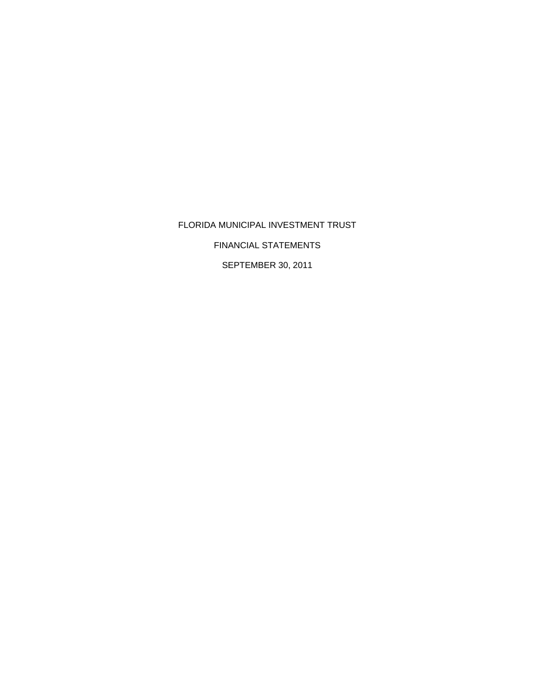FLORIDA MUNICIPAL INVESTMENT TRUST FINANCIAL STATEMENTS SEPTEMBER 30, 2011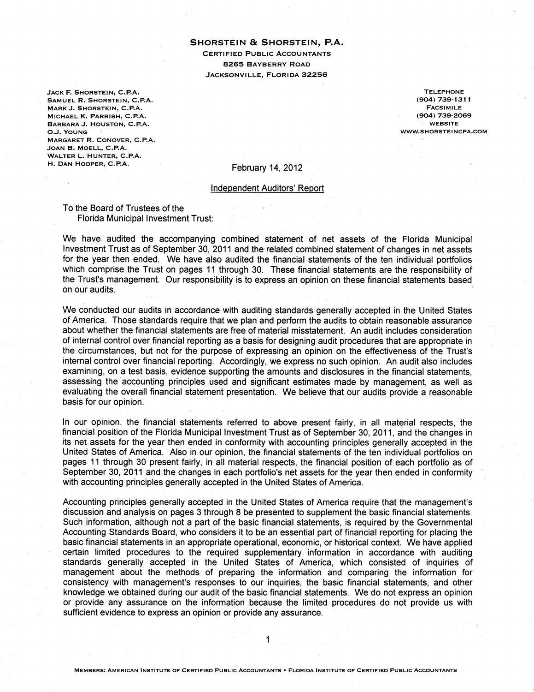### SHORSTEIN & SHORSTEIN, P.A. **CERTIFIED PUBLIC ACCOUNTANTS 8265 BAYBERRY ROAD** JACKSONVILLE, FLORIDA 32256

JACK F. SHORSTEIN, C.P.A. SAMUEL R. SHORSTEIN, C.P.A. MARK J. SHORSTEIN, C.P.A. MICHAEL K. PARRISH, C.P.A. BARBARA J. HOUSTON, C.P.A. O.J. YOUNG MARGARET R. CONOVER, C.P.A. JOAN B. MOELL, C.P.A. WALTER L. HUNTER, C.P.A. H. DAN HOOPER, C.P.A.

**TELEPHONE** (904) 739-1311 **FACSIMILE** (904) 739-2069 **WEBSITE** WWW.SHORSTEINCPA.COM

February 14, 2012

#### **Independent Auditors' Report**

To the Board of Trustees of the Florida Municipal Investment Trust:

We have audited the accompanying combined statement of net assets of the Florida Municipal Investment Trust as of September 30, 2011 and the related combined statement of changes in net assets for the year then ended. We have also audited the financial statements of the ten individual portfolios which comprise the Trust on pages 11 through 30. These financial statements are the responsibility of the Trust's management. Our responsibility is to express an opinion on these financial statements based on our audits.

We conducted our audits in accordance with auditing standards generally accepted in the United States of America. Those standards require that we plan and perform the audits to obtain reasonable assurance about whether the financial statements are free of material misstatement. An audit includes consideration of internal control over financial reporting as a basis for designing audit procedures that are appropriate in the circumstances, but not for the purpose of expressing an opinion on the effectiveness of the Trust's internal control over financial reporting. Accordingly, we express no such opinion. An audit also includes examining, on a test basis, evidence supporting the amounts and disclosures in the financial statements. assessing the accounting principles used and significant estimates made by management, as well as evaluating the overall financial statement presentation. We believe that our audits provide a reasonable basis for our opinion.

In our opinion, the financial statements referred to above present fairly, in all material respects, the financial position of the Florida Municipal Investment Trust as of September 30, 2011, and the changes in its net assets for the year then ended in conformity with accounting principles generally accepted in the United States of America. Also in our opinion, the financial statements of the ten individual portfolios on pages 11 through 30 present fairly, in all material respects, the financial position of each portfolio as of September 30, 2011 and the changes in each portfolio's net assets for the year then ended in conformity with accounting principles generally accepted in the United States of America.

Accounting principles generally accepted in the United States of America require that the management's discussion and analysis on pages 3 through 8 be presented to supplement the basic financial statements. Such information, although not a part of the basic financial statements, is required by the Governmental Accounting Standards Board, who considers it to be an essential part of financial reporting for placing the basic financial statements in an appropriate operational, economic, or historical context. We have applied certain limited procedures to the required supplementary information in accordance with auditing standards generally accepted in the United States of America, which consisted of inquiries of management about the methods of preparing the information and comparing the information for consistency with management's responses to our inquiries, the basic financial statements, and other knowledge we obtained during our audit of the basic financial statements. We do not express an opinion or provide any assurance on the information because the limited procedures do not provide us with sufficient evidence to express an opinion or provide any assurance.

 $\mathbf 1$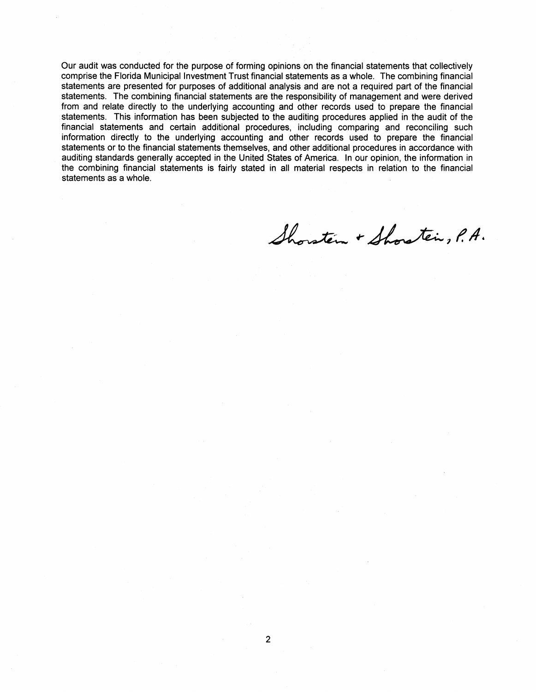Our audit was conducted for the purpose of forming opinions on the financial statements that collectively comprise the Florida Municipal Investment Trust financial statements as a whole. The combining financial statements are presented for purposes of additional analysis and are not a required part of the financial statements. The combining financial statements are the responsibility of management and were derived from and relate directly to the underlying accounting and other records used to prepare the financial statements. This information has been subjected to the auditing procedures applied in the audit of the financial statements and certain additional procedures, including comparing and reconciling such information directly to the underlying accounting and other records used to prepare the financial statements or to the financial statements themselves, and other additional procedures in accordance with auditing standards generally accepted in the United States of America. In our opinion, the information in the combining financial statements is fairly stated in all material respects in relation to the financial statements as a whole.

Shorstein + Shorstein, P.A.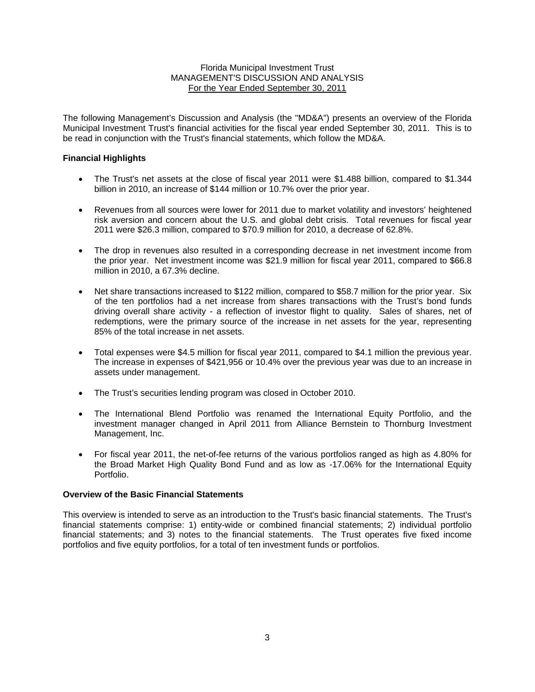The following Management's Discussion and Analysis (the "MD&A") presents an overview of the Florida Municipal Investment Trust's financial activities for the fiscal year ended September 30, 2011. This is to be read in conjunction with the Trust's financial statements, which follow the MD&A.

### **Financial Highlights**

- The Trust's net assets at the close of fiscal year 2011 were \$1.488 billion, compared to \$1.344 billion in 2010, an increase of \$144 million or 10.7% over the prior year.
- Revenues from all sources were lower for 2011 due to market volatility and investors' heightened risk aversion and concern about the U.S. and global debt crisis. Total revenues for fiscal year 2011 were \$26.3 million, compared to \$70.9 million for 2010, a decrease of 62.8%.
- The drop in revenues also resulted in a corresponding decrease in net investment income from the prior year. Net investment income was \$21.9 million for fiscal year 2011, compared to \$66.8 million in 2010, a 67.3% decline.
- Net share transactions increased to \$122 million, compared to \$58.7 million for the prior year. Six of the ten portfolios had a net increase from shares transactions with the Trust's bond funds driving overall share activity - a reflection of investor flight to quality. Sales of shares, net of redemptions, were the primary source of the increase in net assets for the year, representing 85% of the total increase in net assets.
- Total expenses were \$4.5 million for fiscal year 2011, compared to \$4.1 million the previous year. The increase in expenses of \$421,956 or 10.4% over the previous year was due to an increase in assets under management.
- The Trust's securities lending program was closed in October 2010.
- The International Blend Portfolio was renamed the International Equity Portfolio, and the investment manager changed in April 2011 from Alliance Bernstein to Thornburg Investment Management, Inc.
- For fiscal year 2011, the net-of-fee returns of the various portfolios ranged as high as 4.80% for the Broad Market High Quality Bond Fund and as low as -17.06% for the International Equity Portfolio.

### **Overview of the Basic Financial Statements**

This overview is intended to serve as an introduction to the Trust's basic financial statements. The Trust's financial statements comprise: 1) entity-wide or combined financial statements; 2) individual portfolio financial statements; and 3) notes to the financial statements. The Trust operates five fixed income portfolios and five equity portfolios, for a total of ten investment funds or portfolios.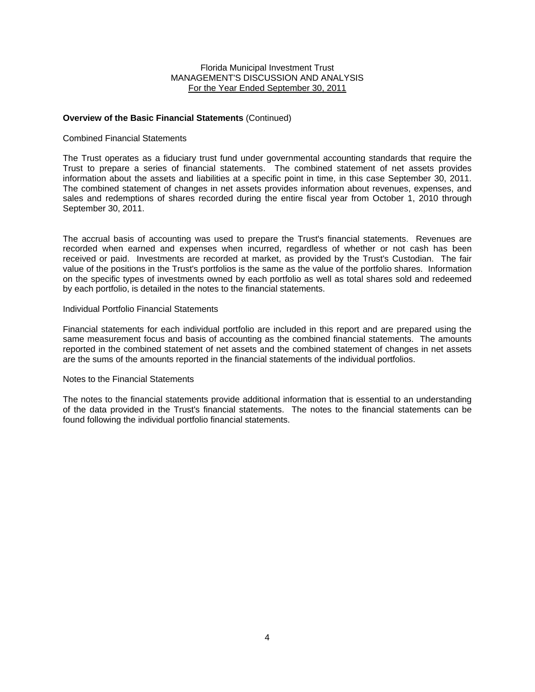### **Overview of the Basic Financial Statements** (Continued)

#### Combined Financial Statements

The Trust operates as a fiduciary trust fund under governmental accounting standards that require the Trust to prepare a series of financial statements. The combined statement of net assets provides information about the assets and liabilities at a specific point in time, in this case September 30, 2011. The combined statement of changes in net assets provides information about revenues, expenses, and sales and redemptions of shares recorded during the entire fiscal year from October 1, 2010 through September 30, 2011.

The accrual basis of accounting was used to prepare the Trust's financial statements. Revenues are recorded when earned and expenses when incurred, regardless of whether or not cash has been received or paid. Investments are recorded at market, as provided by the Trust's Custodian. The fair value of the positions in the Trust's portfolios is the same as the value of the portfolio shares. Information on the specific types of investments owned by each portfolio as well as total shares sold and redeemed by each portfolio, is detailed in the notes to the financial statements.

#### Individual Portfolio Financial Statements

Financial statements for each individual portfolio are included in this report and are prepared using the same measurement focus and basis of accounting as the combined financial statements. The amounts reported in the combined statement of net assets and the combined statement of changes in net assets are the sums of the amounts reported in the financial statements of the individual portfolios.

#### Notes to the Financial Statements

The notes to the financial statements provide additional information that is essential to an understanding of the data provided in the Trust's financial statements. The notes to the financial statements can be found following the individual portfolio financial statements.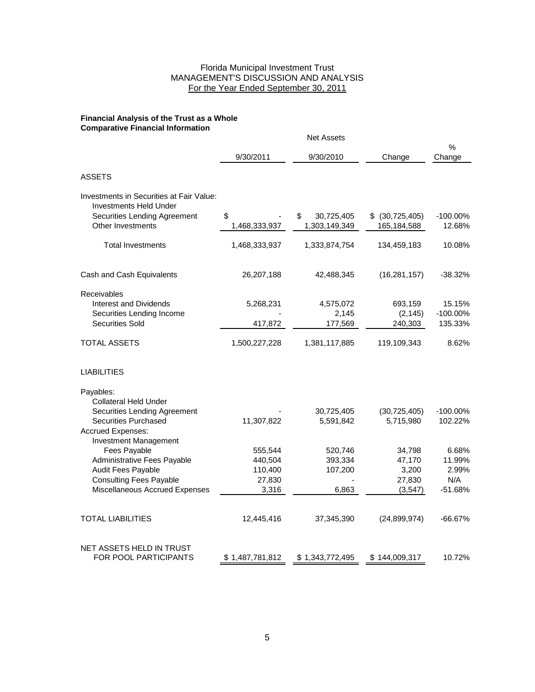#### **Financial Analysis of the Trust as a Whole Comparative Financial Information**

|                                                                                                                  |                     | <b>Net Assets</b>                 |                                     |                     |
|------------------------------------------------------------------------------------------------------------------|---------------------|-----------------------------------|-------------------------------------|---------------------|
|                                                                                                                  | 9/30/2011           | 9/30/2010                         | Change                              | %<br>Change         |
| <b>ASSETS</b>                                                                                                    |                     |                                   |                                     |                     |
| Investments in Securities at Fair Value:<br><b>Investments Held Under</b>                                        |                     |                                   |                                     |                     |
| <b>Securities Lending Agreement</b><br>Other Investments                                                         | \$<br>1,468,333,937 | 30,725,405<br>\$<br>1,303,149,349 | (30, 725, 405)<br>\$<br>165,184,588 | -100.00%<br>12.68%  |
| <b>Total Investments</b>                                                                                         | 1,468,333,937       | 1,333,874,754                     | 134,459,183                         | 10.08%              |
| Cash and Cash Equivalents                                                                                        | 26,207,188          | 42,488,345                        | (16, 281, 157)                      | $-38.32%$           |
| Receivables<br><b>Interest and Dividends</b>                                                                     | 5,268,231           | 4,575,072                         | 693,159                             | 15.15%              |
| Securities Lending Income<br><b>Securities Sold</b>                                                              | 417,872             | 2,145<br>177,569                  | (2, 145)<br>240,303                 | -100.00%<br>135.33% |
| <b>TOTAL ASSETS</b>                                                                                              | 1,500,227,228       | 1,381,117,885                     | 119,109,343                         | 8.62%               |
| <b>LIABILITIES</b>                                                                                               |                     |                                   |                                     |                     |
| Payables:                                                                                                        |                     |                                   |                                     |                     |
| <b>Collateral Held Under</b><br>Securities Lending Agreement<br><b>Securities Purchased</b><br>Accrued Expenses: | 11,307,822          | 30,725,405<br>5,591,842           | (30, 725, 405)<br>5,715,980         | -100.00%<br>102.22% |
| Investment Management<br>Fees Payable                                                                            | 555,544             | 520,746                           | 34,798                              | 6.68%               |
| Administrative Fees Payable                                                                                      | 440,504             | 393,334                           | 47,170                              | 11.99%              |
| Audit Fees Payable                                                                                               | 110,400             | 107,200                           | 3,200                               | 2.99%               |
| <b>Consulting Fees Payable</b><br>Miscellaneous Accrued Expenses                                                 | 27,830<br>3,316     | 6,863                             | 27,830<br>(3,547)                   | N/A<br>$-51.68%$    |
| TOTAL LIABILITIES                                                                                                | 12,445,416          | 37,345,390                        | (24, 899, 974)                      | $-66.67%$           |
| NET ASSETS HELD IN TRUST<br>FOR POOL PARTICIPANTS                                                                | \$1,487,781,812     | \$1,343,772,495                   | \$144,009,317                       | 10.72%              |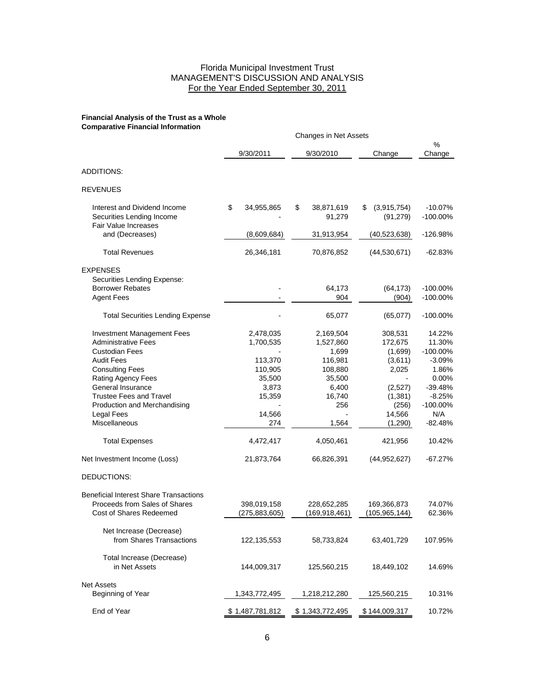#### **Financial Analysis of the Trust as a Whole Comparative Financial Information**

|                                                                                                           | Changes in Net Assets |                                |    |                                 |                                |                                   |
|-----------------------------------------------------------------------------------------------------------|-----------------------|--------------------------------|----|---------------------------------|--------------------------------|-----------------------------------|
|                                                                                                           |                       | 9/30/2011                      |    | 9/30/2010                       | Change                         | %<br>Change                       |
| ADDITIONS:                                                                                                |                       |                                |    |                                 |                                |                                   |
| <b>REVENUES</b>                                                                                           |                       |                                |    |                                 |                                |                                   |
| Interest and Dividend Income<br>Securities Lending Income<br>Fair Value Increases                         | \$                    | 34,955,865                     | \$ | 38,871,619<br>91,279            | \$<br>(3,915,754)<br>(91, 279) | $-10.07%$<br>-100.00%             |
| and (Decreases)                                                                                           |                       | (8,609,684)                    |    | 31,913,954                      | (40, 523, 638)                 | -126.98%                          |
| <b>Total Revenues</b>                                                                                     |                       | 26,346,181                     |    | 70,876,852                      | (44, 530, 671)                 | $-62.83%$                         |
| <b>EXPENSES</b><br>Securities Lending Expense:                                                            |                       |                                |    |                                 |                                |                                   |
| <b>Borrower Rebates</b><br><b>Agent Fees</b>                                                              |                       |                                |    | 64,173<br>904                   | (64, 173)<br>(904)             | -100.00%<br>$-100.00\%$           |
| <b>Total Securities Lending Expense</b>                                                                   |                       |                                |    | 65,077                          | (65,077)                       | $-100.00\%$                       |
| <b>Investment Management Fees</b><br><b>Administrative Fees</b><br><b>Custodian Fees</b>                  |                       | 2,478,035<br>1,700,535         |    | 2,169,504<br>1,527,860<br>1,699 | 308,531<br>172,675<br>(1,699)  | 14.22%<br>11.30%<br>$-100.00\%$   |
| <b>Audit Fees</b><br><b>Consulting Fees</b><br>Rating Agency Fees                                         |                       | 113,370<br>110,905<br>35,500   |    | 116,981<br>108,880<br>35,500    | (3,611)<br>2,025               | $-3.09%$<br>1.86%<br>0.00%        |
| General Insurance<br><b>Trustee Fees and Travel</b><br>Production and Merchandising                       |                       | 3,873<br>15,359                |    | 6,400<br>16,740<br>256          | (2,527)<br>(1, 381)<br>(256)   | $-39.48%$<br>$-8.25%$<br>-100.00% |
| Legal Fees<br><b>Miscellaneous</b>                                                                        |                       | 14,566<br>274                  |    | 1,564                           | 14,566<br>(1,290)              | N/A<br>$-82.48%$                  |
| <b>Total Expenses</b>                                                                                     |                       | 4,472,417                      |    | 4,050,461                       | 421,956                        | 10.42%                            |
| Net Investment Income (Loss)                                                                              |                       | 21,873,764                     |    | 66,826,391                      | (44, 952, 627)                 | $-67.27%$                         |
| DEDUCTIONS:                                                                                               |                       |                                |    |                                 |                                |                                   |
| <b>Beneficial Interest Share Transactions</b><br>Proceeds from Sales of Shares<br>Cost of Shares Redeemed |                       | 398,019,158<br>(275, 883, 605) |    | 228,652,285<br>(169, 918, 461)  | 169,366,873<br>(105, 965, 144) | 74.07%<br>62.36%                  |
| Net Increase (Decrease)<br>from Shares Transactions                                                       |                       | 122, 135, 553                  |    | 58,733,824                      | 63,401,729                     | 107.95%                           |
| Total Increase (Decrease)<br>in Net Assets                                                                |                       | 144,009,317                    |    | 125,560,215                     | 18,449,102                     | 14.69%                            |
| <b>Net Assets</b><br>Beginning of Year                                                                    |                       | 1,343,772,495                  |    | 1,218,212,280                   | 125,560,215                    | 10.31%                            |
| End of Year                                                                                               |                       | \$1,487,781,812                |    | \$1,343,772,495                 | \$144,009,317                  | 10.72%                            |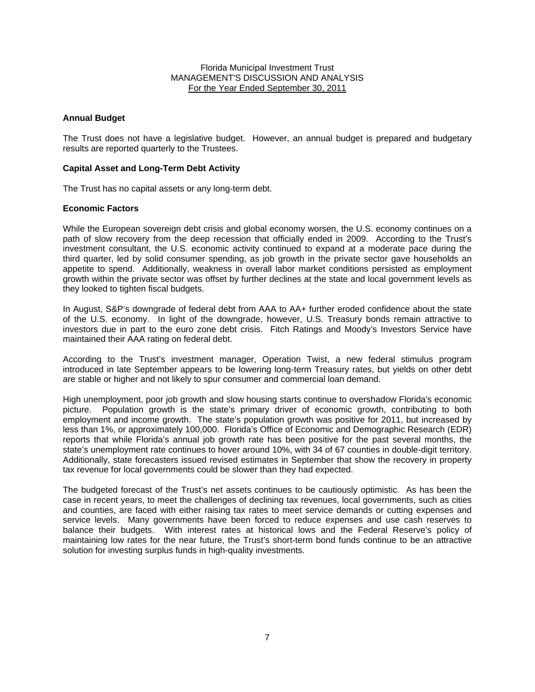### **Annual Budget**

The Trust does not have a legislative budget. However, an annual budget is prepared and budgetary results are reported quarterly to the Trustees.

### **Capital Asset and Long-Term Debt Activity**

The Trust has no capital assets or any long-term debt.

### **Economic Factors**

While the European sovereign debt crisis and global economy worsen, the U.S. economy continues on a path of slow recovery from the deep recession that officially ended in 2009. According to the Trust's investment consultant, the U.S. economic activity continued to expand at a moderate pace during the third quarter, led by solid consumer spending, as job growth in the private sector gave households an appetite to spend. Additionally, weakness in overall labor market conditions persisted as employment growth within the private sector was offset by further declines at the state and local government levels as they looked to tighten fiscal budgets.

In August, S&P's downgrade of federal debt from AAA to AA+ further eroded confidence about the state of the U.S. economy. In light of the downgrade, however, U.S. Treasury bonds remain attractive to investors due in part to the euro zone debt crisis. Fitch Ratings and Moody's Investors Service have maintained their AAA rating on federal debt.

According to the Trust's investment manager, Operation Twist, a new federal stimulus program introduced in late September appears to be lowering long-term Treasury rates, but yields on other debt are stable or higher and not likely to spur consumer and commercial loan demand.

High unemployment, poor job growth and slow housing starts continue to overshadow Florida's economic picture. Population growth is the state's primary driver of economic growth, contributing to both employment and income growth. The state's population growth was positive for 2011, but increased by less than 1%, or approximately 100,000. Florida's Office of Economic and Demographic Research (EDR) reports that while Florida's annual job growth rate has been positive for the past several months, the state's unemployment rate continues to hover around 10%, with 34 of 67 counties in double-digit territory. Additionally, state forecasters issued revised estimates in September that show the recovery in property tax revenue for local governments could be slower than they had expected.

The budgeted forecast of the Trust's net assets continues to be cautiously optimistic. As has been the case in recent years, to meet the challenges of declining tax revenues, local governments, such as cities and counties, are faced with either raising tax rates to meet service demands or cutting expenses and service levels. Many governments have been forced to reduce expenses and use cash reserves to balance their budgets. With interest rates at historical lows and the Federal Reserve's policy of maintaining low rates for the near future, the Trust's short-term bond funds continue to be an attractive solution for investing surplus funds in high-quality investments.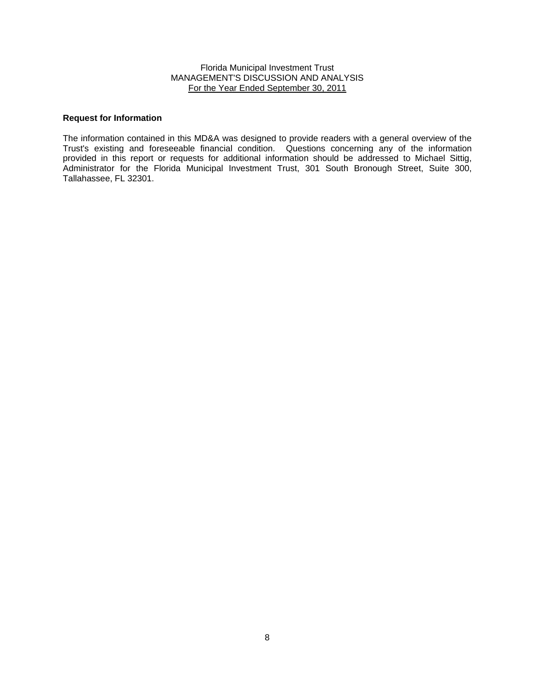#### **Request for Information**

The information contained in this MD&A was designed to provide readers with a general overview of the Trust's existing and foreseeable financial condition. Questions concerning any of the information provided in this report or requests for additional information should be addressed to Michael Sittig, Administrator for the Florida Municipal Investment Trust, 301 South Bronough Street, Suite 300, Tallahassee, FL 32301.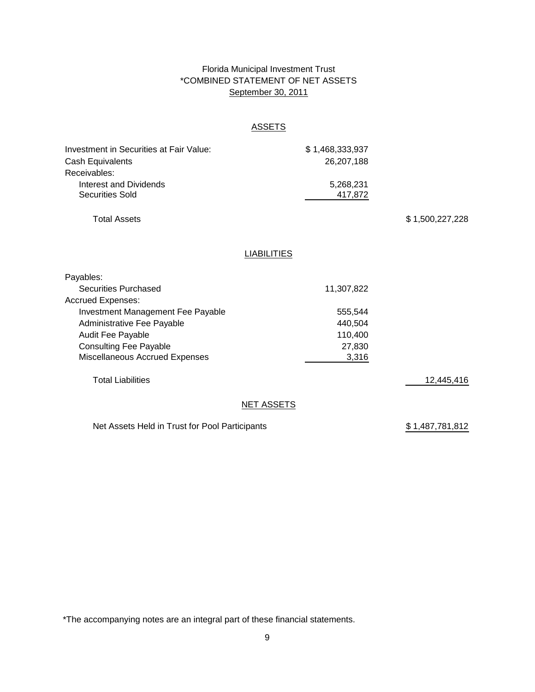# Florida Municipal Investment Trust \*COMBINED STATEMENT OF NET ASSETS September 30, 2011

# **ASSETS**

| Investment in Securities at Fair Value:        | \$1,468,333,937    |                 |
|------------------------------------------------|--------------------|-----------------|
| Cash Equivalents                               | 26,207,188         |                 |
| Receivables:                                   |                    |                 |
| <b>Interest and Dividends</b>                  | 5,268,231          |                 |
| <b>Securities Sold</b>                         | 417,872            |                 |
| <b>Total Assets</b>                            |                    | \$1,500,227,228 |
|                                                |                    |                 |
|                                                | <b>LIABILITIES</b> |                 |
| Payables:                                      |                    |                 |
| <b>Securities Purchased</b>                    | 11,307,822         |                 |
| <b>Accrued Expenses:</b>                       |                    |                 |
| Investment Management Fee Payable              | 555,544            |                 |
| Administrative Fee Payable                     | 440,504            |                 |
| Audit Fee Payable                              | 110,400            |                 |
| <b>Consulting Fee Payable</b>                  | 27,830             |                 |
| Miscellaneous Accrued Expenses                 | 3,316              |                 |
| <b>Total Liabilities</b>                       |                    | 12,445,416      |
|                                                | <b>NET ASSETS</b>  |                 |
| Net Assets Held in Trust for Pool Participants |                    | \$1,487,781,812 |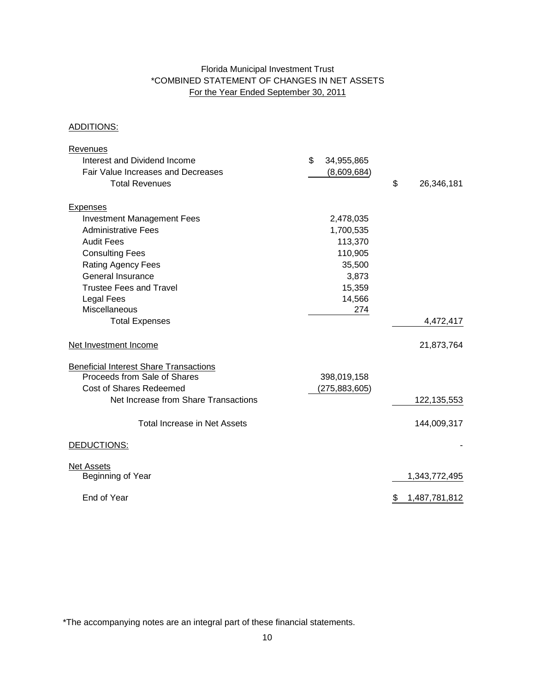# Florida Municipal Investment Trust \*COMBINED STATEMENT OF CHANGES IN NET ASSETS For the Year Ended September 30, 2011

# ADDITIONS:

| Revenues                                                        |                  |                     |
|-----------------------------------------------------------------|------------------|---------------------|
| Interest and Dividend Income                                    | \$<br>34,955,865 |                     |
| Fair Value Increases and Decreases                              | (8,609,684)      |                     |
| <b>Total Revenues</b>                                           |                  | \$<br>26,346,181    |
|                                                                 |                  |                     |
| <b>Expenses</b>                                                 |                  |                     |
| <b>Investment Management Fees</b><br><b>Administrative Fees</b> | 2,478,035        |                     |
|                                                                 | 1,700,535        |                     |
| <b>Audit Fees</b>                                               | 113,370          |                     |
| <b>Consulting Fees</b>                                          | 110,905          |                     |
| <b>Rating Agency Fees</b>                                       | 35,500           |                     |
| <b>General Insurance</b>                                        | 3,873            |                     |
| Trustee Fees and Travel                                         | 15,359           |                     |
| Legal Fees                                                      | 14,566           |                     |
| Miscellaneous                                                   | 274              |                     |
| <b>Total Expenses</b>                                           |                  | 4,472,417           |
| Net Investment Income                                           |                  | 21,873,764          |
| <b>Beneficial Interest Share Transactions</b>                   |                  |                     |
| Proceeds from Sale of Shares                                    | 398,019,158      |                     |
| <b>Cost of Shares Redeemed</b>                                  | (275, 883, 605)  |                     |
| Net Increase from Share Transactions                            |                  | 122, 135, 553       |
| <b>Total Increase in Net Assets</b>                             |                  | 144,009,317         |
| DEDUCTIONS:                                                     |                  |                     |
| <b>Net Assets</b>                                               |                  |                     |
| Beginning of Year                                               |                  | 1,343,772,495       |
| End of Year                                                     |                  | \$<br>1,487,781,812 |
|                                                                 |                  |                     |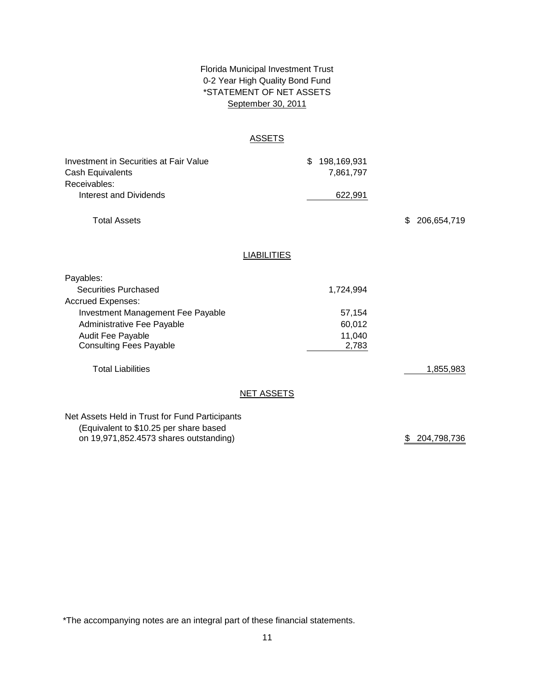# Florida Municipal Investment Trust September 30, 2011 0-2 Year High Quality Bond Fund \*STATEMENT OF NET ASSETS

### ASSETS

| Investment in Securities at Fair Value<br>Cash Equivalents |                    | \$<br>198,169,931<br>7,861,797 |                   |
|------------------------------------------------------------|--------------------|--------------------------------|-------------------|
| Receivables:<br>Interest and Dividends                     |                    | 622,991                        |                   |
| <b>Total Assets</b>                                        |                    |                                | \$<br>206,654,719 |
|                                                            | <b>LIABILITIES</b> |                                |                   |
| Payables:                                                  |                    |                                |                   |
| <b>Securities Purchased</b>                                |                    | 1,724,994                      |                   |
|                                                            |                    |                                |                   |
| <b>Accrued Expenses:</b>                                   |                    |                                |                   |
| Investment Management Fee Payable                          |                    | 57,154                         |                   |
| Administrative Fee Payable                                 |                    | 60,012                         |                   |
| <b>Audit Fee Payable</b><br><b>Consulting Fees Payable</b> |                    | 11,040<br>2,783                |                   |
| <b>Total Liabilities</b>                                   |                    |                                | 1,855,983         |
|                                                            | <b>NET ASSETS</b>  |                                |                   |
|                                                            |                    |                                |                   |
| Net Assets Held in Trust for Fund Participants             |                    |                                |                   |
| (Foujvalent to \$10.25 per share based                     |                    |                                |                   |

(Equivalent to \$10.25 per share based on 19,971,852.4573 shares outstanding)

\$ 204,798,736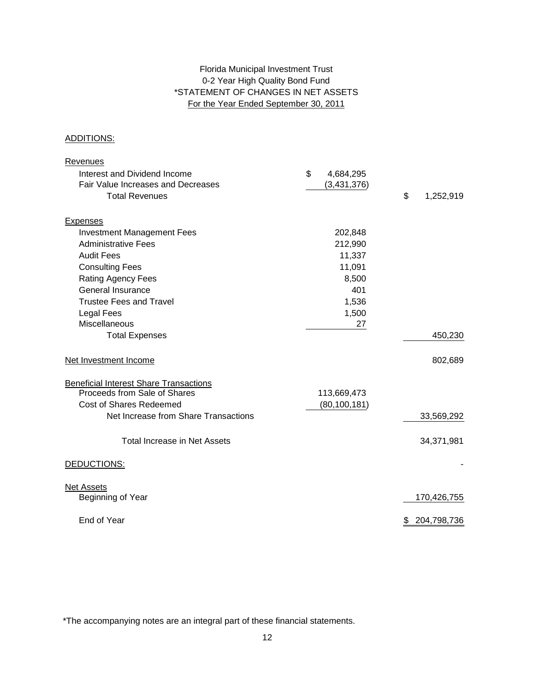# 0-2 Year High Quality Bond Fund \*STATEMENT OF CHANGES IN NET ASSETS For the Year Ended September 30, 2011 Florida Municipal Investment Trust

### ADDITIONS:

| <b>Revenues</b>                               |                 |                   |
|-----------------------------------------------|-----------------|-------------------|
| Interest and Dividend Income                  | \$<br>4,684,295 |                   |
| Fair Value Increases and Decreases            | (3,431,376)     |                   |
| <b>Total Revenues</b>                         |                 | \$<br>1,252,919   |
| <b>Expenses</b>                               |                 |                   |
| <b>Investment Management Fees</b>             | 202,848         |                   |
| <b>Administrative Fees</b>                    | 212,990         |                   |
| <b>Audit Fees</b>                             | 11,337          |                   |
| <b>Consulting Fees</b>                        | 11,091          |                   |
| Rating Agency Fees                            | 8,500           |                   |
| <b>General Insurance</b>                      | 401             |                   |
| <b>Trustee Fees and Travel</b>                | 1,536           |                   |
| <b>Legal Fees</b>                             | 1,500           |                   |
| Miscellaneous                                 | 27              |                   |
| <b>Total Expenses</b>                         |                 | 450,230           |
| Net Investment Income                         |                 | 802,689           |
| <b>Beneficial Interest Share Transactions</b> |                 |                   |
| Proceeds from Sale of Shares                  | 113,669,473     |                   |
| <b>Cost of Shares Redeemed</b>                | (80, 100, 181)  |                   |
| Net Increase from Share Transactions          |                 | 33,569,292        |
| Total Increase in Net Assets                  |                 | 34,371,981        |
| DEDUCTIONS:                                   |                 |                   |
| <b>Net Assets</b>                             |                 |                   |
| Beginning of Year                             |                 | 170,426,755       |
| End of Year                                   |                 | 204,798,736<br>\$ |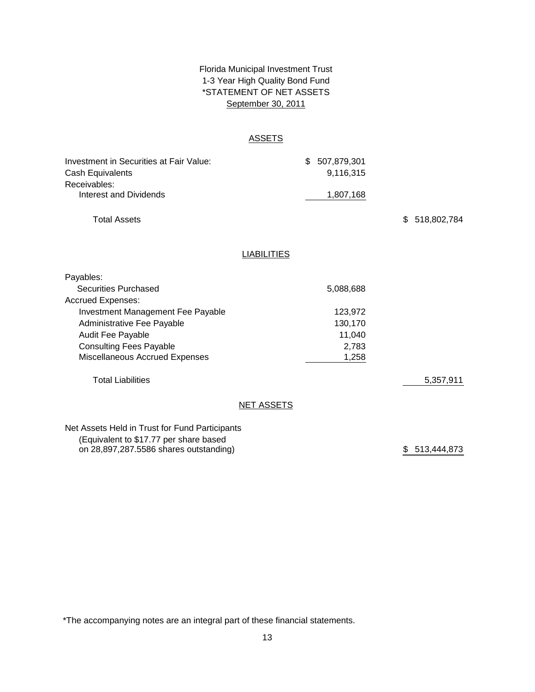# \*STATEMENT OF NET ASSETS Florida Municipal Investment Trust 1-3 Year High Quality Bond Fund September 30, 2011

### **ASSETS**

| Investment in Securities at Fair Value:<br>Cash Equivalents |                    | \$<br>507,879,301<br>9,116,315 |                   |
|-------------------------------------------------------------|--------------------|--------------------------------|-------------------|
| Receivables:<br>Interest and Dividends                      |                    | 1,807,168                      |                   |
| <b>Total Assets</b>                                         |                    |                                | \$<br>518,802,784 |
|                                                             | <b>LIABILITIES</b> |                                |                   |
| Payables:                                                   |                    |                                |                   |
| <b>Securities Purchased</b>                                 |                    | 5,088,688                      |                   |
| <b>Accrued Expenses:</b>                                    |                    |                                |                   |
| Investment Management Fee Payable                           |                    | 123,972                        |                   |
| Administrative Fee Payable                                  |                    | 130,170                        |                   |
| Audit Fee Payable                                           |                    | 11,040                         |                   |
| <b>Consulting Fees Payable</b>                              |                    | 2,783                          |                   |
| Miscellaneous Accrued Expenses                              |                    | 1,258                          |                   |
| <b>Total Liabilities</b>                                    |                    |                                | 5,357,911         |
|                                                             | <b>NET ASSETS</b>  |                                |                   |
| Net Assets Held in Trust for Fund Participants              |                    |                                |                   |
| (Equivalent to \$17.77 per share based                      |                    |                                |                   |
| on 28,897,287.5586 shares outstanding)                      |                    |                                | \$ 513,444,873    |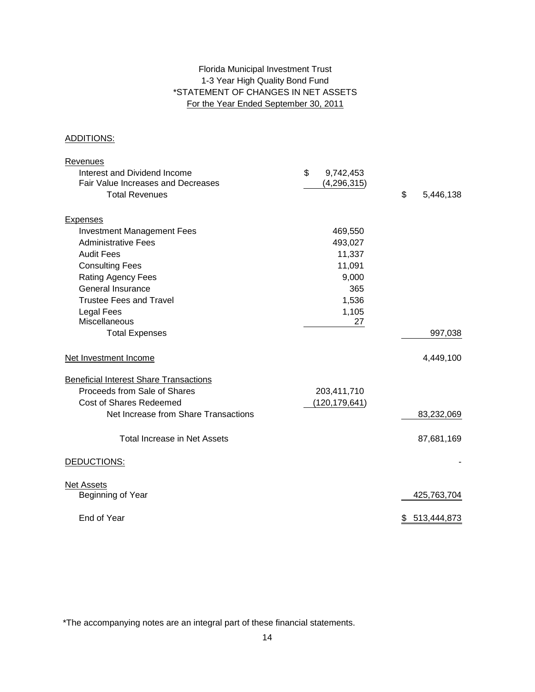# 1-3 Year High Quality Bond Fund \*STATEMENT OF CHANGES IN NET ASSETS For the Year Ended September 30, 2011 Florida Municipal Investment Trust

### ADDITIONS:

| <b>Revenues</b>                               |                 |                 |
|-----------------------------------------------|-----------------|-----------------|
| Interest and Dividend Income                  | \$<br>9,742,453 |                 |
| Fair Value Increases and Decreases            | (4, 296, 315)   |                 |
| <b>Total Revenues</b>                         |                 | \$<br>5,446,138 |
| <b>Expenses</b>                               |                 |                 |
| <b>Investment Management Fees</b>             | 469,550         |                 |
| <b>Administrative Fees</b>                    | 493,027         |                 |
| <b>Audit Fees</b>                             | 11,337          |                 |
| <b>Consulting Fees</b>                        | 11,091          |                 |
| <b>Rating Agency Fees</b>                     | 9,000           |                 |
| <b>General Insurance</b>                      | 365             |                 |
| <b>Trustee Fees and Travel</b>                | 1,536           |                 |
| <b>Legal Fees</b>                             | 1,105           |                 |
| <b>Miscellaneous</b>                          | 27              |                 |
| <b>Total Expenses</b>                         |                 | 997,038         |
| Net Investment Income                         |                 | 4,449,100       |
| <b>Beneficial Interest Share Transactions</b> |                 |                 |
| Proceeds from Sale of Shares                  | 203,411,710     |                 |
| <b>Cost of Shares Redeemed</b>                | (120, 179, 641) |                 |
| Net Increase from Share Transactions          |                 | 83,232,069      |
| Total Increase in Net Assets                  |                 | 87,681,169      |
| DEDUCTIONS:                                   |                 |                 |
| <b>Net Assets</b>                             |                 |                 |
| Beginning of Year                             |                 | 425,763,704     |
| End of Year                                   |                 | \$513,444,873   |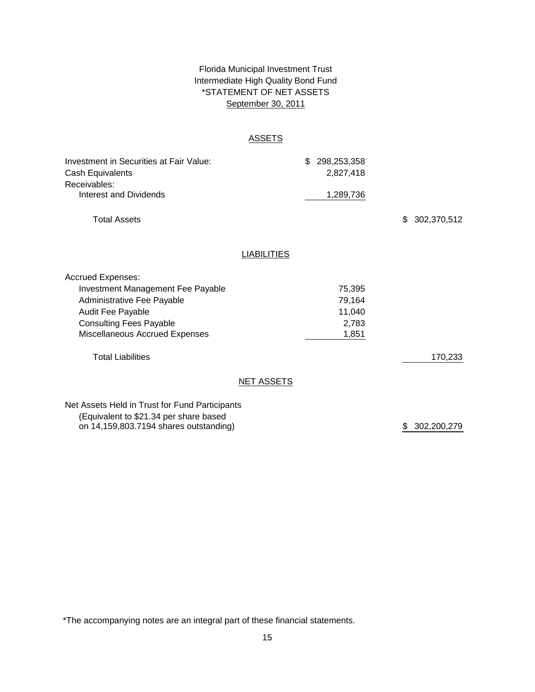# Florida Municipal Investment Trust Intermediate High Quality Bond Fund \*STATEMENT OF NET ASSETS September 30, 2011

### ASSETS

| Investment in Securities at Fair Value:<br>Cash Equivalents<br>Receivables:<br>Interest and Dividends                                                                                |                    | \$<br>298,253,358<br>2,827,418<br>1,289,736  |               |
|--------------------------------------------------------------------------------------------------------------------------------------------------------------------------------------|--------------------|----------------------------------------------|---------------|
| <b>Total Assets</b>                                                                                                                                                                  |                    |                                              | \$302,370,512 |
|                                                                                                                                                                                      | <b>LIABILITIES</b> |                                              |               |
| <b>Accrued Expenses:</b><br>Investment Management Fee Payable<br>Administrative Fee Payable<br>Audit Fee Payable<br><b>Consulting Fees Payable</b><br>Miscellaneous Accrued Expenses |                    | 75,395<br>79,164<br>11,040<br>2,783<br>1,851 |               |
| <b>Total Liabilities</b>                                                                                                                                                             |                    |                                              | 170,233       |
|                                                                                                                                                                                      | <b>NET ASSETS</b>  |                                              |               |
| Net Assets Held in Trust for Fund Participants<br>(Equivalent to \$21.34 per share based                                                                                             |                    |                                              |               |

on 14,159,803.7194 shares outstanding)

\$ 302,200,279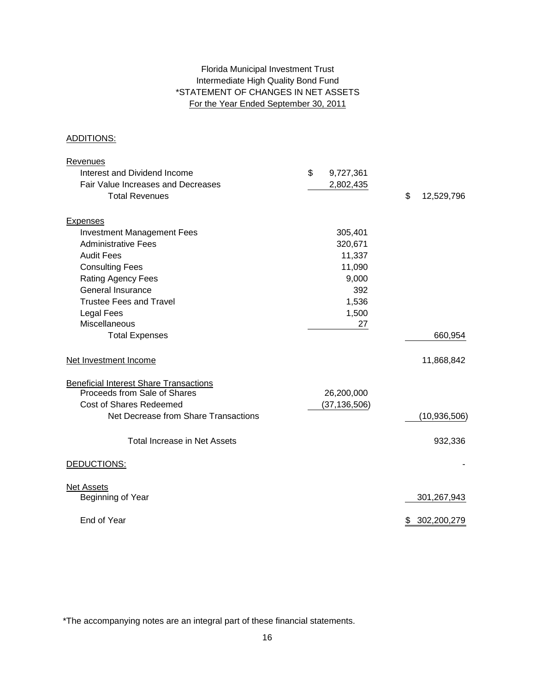# Intermediate High Quality Bond Fund For the Year Ended September 30, 2011 Florida Municipal Investment Trust \*STATEMENT OF CHANGES IN NET ASSETS

### ADDITIONS:

| Revenues                                      |                 |                   |
|-----------------------------------------------|-----------------|-------------------|
| Interest and Dividend Income                  | \$<br>9,727,361 |                   |
| Fair Value Increases and Decreases            | 2,802,435       |                   |
| <b>Total Revenues</b>                         |                 | \$<br>12,529,796  |
| <b>Expenses</b>                               |                 |                   |
| <b>Investment Management Fees</b>             | 305,401         |                   |
| <b>Administrative Fees</b>                    | 320,671         |                   |
| <b>Audit Fees</b>                             | 11,337          |                   |
| <b>Consulting Fees</b>                        | 11,090          |                   |
| Rating Agency Fees                            | 9,000           |                   |
| <b>General Insurance</b>                      |                 | 392               |
| <b>Trustee Fees and Travel</b>                | 1,536           |                   |
| <b>Legal Fees</b>                             | 1,500           |                   |
| <b>Miscellaneous</b>                          |                 | 27                |
| <b>Total Expenses</b>                         |                 | 660,954           |
| Net Investment Income                         |                 | 11,868,842        |
| <b>Beneficial Interest Share Transactions</b> |                 |                   |
| Proceeds from Sale of Shares                  | 26,200,000      |                   |
| <b>Cost of Shares Redeemed</b>                | (37, 136, 506)  |                   |
| Net Decrease from Share Transactions          |                 | (10, 936, 506)    |
| Total Increase in Net Assets                  |                 | 932,336           |
| DEDUCTIONS:                                   |                 |                   |
| <b>Net Assets</b>                             |                 |                   |
| Beginning of Year                             |                 | 301,267,943       |
| End of Year                                   |                 | 302,200,279<br>\$ |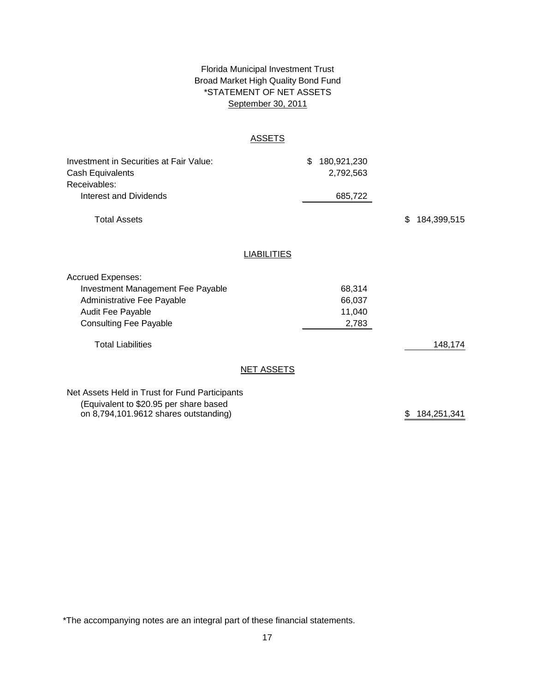# Florida Municipal Investment Trust Broad Market High Quality Bond Fund September 30, 2011 \*STATEMENT OF NET ASSETS

### **ASSETS**

| Investment in Securities at Fair Value:<br>Cash Equivalents |                    | \$<br>180,921,230<br>2,792,563 |                   |
|-------------------------------------------------------------|--------------------|--------------------------------|-------------------|
| Receivables:                                                |                    |                                |                   |
| Interest and Dividends                                      |                    | 685,722                        |                   |
| <b>Total Assets</b>                                         |                    |                                | \$<br>184,399,515 |
|                                                             | <b>LIABILITIES</b> |                                |                   |
|                                                             |                    |                                |                   |
| <b>Accrued Expenses:</b>                                    |                    |                                |                   |
| <b>Investment Management Fee Payable</b>                    |                    | 68,314                         |                   |
| Administrative Fee Payable                                  |                    | 66,037                         |                   |
| Audit Fee Payable                                           |                    | 11,040                         |                   |
| <b>Consulting Fee Payable</b>                               |                    | 2,783                          |                   |
| <b>Total Liabilities</b>                                    |                    |                                | 148,174           |
|                                                             | <b>NET ASSETS</b>  |                                |                   |
| Net Assets Held in Trust for Fund Participants              |                    |                                |                   |
|                                                             |                    |                                |                   |

(Equivalent to \$20.95 per share based on 8,794,101.9612 shares outstanding)  $$ 184,251,341$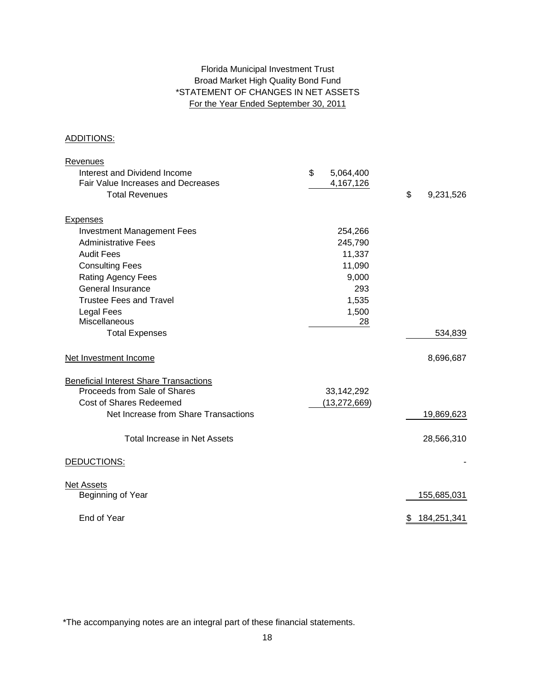# Florida Municipal Investment Trust Broad Market High Quality Bond Fund \*STATEMENT OF CHANGES IN NET ASSETS For the Year Ended September 30, 2011

### ADDITIONS:

| <b>Revenues</b>                               |                 |                   |
|-----------------------------------------------|-----------------|-------------------|
| Interest and Dividend Income                  | \$<br>5,064,400 |                   |
| <b>Fair Value Increases and Decreases</b>     | 4,167,126       |                   |
| <b>Total Revenues</b>                         |                 | \$<br>9,231,526   |
| <b>Expenses</b>                               |                 |                   |
| <b>Investment Management Fees</b>             | 254,266         |                   |
| <b>Administrative Fees</b>                    | 245,790         |                   |
| <b>Audit Fees</b>                             | 11,337          |                   |
| <b>Consulting Fees</b>                        | 11,090          |                   |
| Rating Agency Fees                            | 9,000           |                   |
| <b>General Insurance</b>                      | 293             |                   |
| <b>Trustee Fees and Travel</b>                | 1,535           |                   |
| Legal Fees                                    | 1,500           |                   |
| <b>Miscellaneous</b>                          | 28              |                   |
| <b>Total Expenses</b>                         |                 | 534,839           |
| Net Investment Income                         |                 | 8,696,687         |
| <b>Beneficial Interest Share Transactions</b> |                 |                   |
| Proceeds from Sale of Shares                  | 33,142,292      |                   |
| Cost of Shares Redeemed                       | (13, 272, 669)  |                   |
| Net Increase from Share Transactions          |                 | 19,869,623        |
| <b>Total Increase in Net Assets</b>           |                 | 28,566,310        |
| DEDUCTIONS:                                   |                 |                   |
| <b>Net Assets</b>                             |                 |                   |
| Beginning of Year                             |                 | 155,685,031       |
| End of Year                                   |                 | 184,251,341<br>\$ |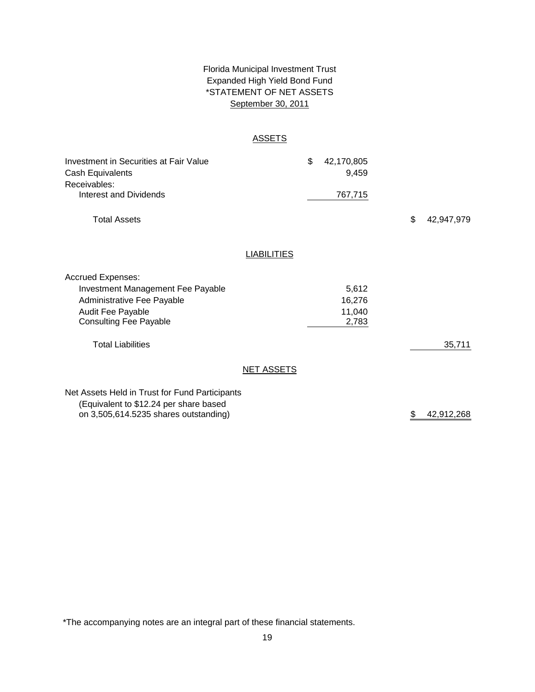# \*STATEMENT OF NET ASSETS Florida Municipal Investment Trust Expanded High Yield Bond Fund September 30, 2011

### ASSETS

| Investment in Securities at Fair Value<br>Cash Equivalents<br>Receivables: |                    | \$<br>42,170,805<br>9,459 |    |            |
|----------------------------------------------------------------------------|--------------------|---------------------------|----|------------|
| Interest and Dividends                                                     |                    | 767,715                   |    |            |
| <b>Total Assets</b>                                                        |                    |                           | \$ | 42,947,979 |
|                                                                            | <b>LIABILITIES</b> |                           |    |            |
| <b>Accrued Expenses:</b>                                                   |                    |                           |    |            |
| Investment Management Fee Payable                                          |                    | 5,612                     |    |            |
| Administrative Fee Payable                                                 |                    | 16,276                    |    |            |
| Audit Fee Payable<br><b>Consulting Fee Payable</b>                         |                    | 11,040<br>2,783           |    |            |
|                                                                            |                    |                           |    |            |
| <b>Total Liabilities</b>                                                   |                    |                           |    | 35,711     |
|                                                                            | <b>NET ASSETS</b>  |                           |    |            |
| Net Assets Held in Trust for Fund Participants                             |                    |                           |    |            |
| (Equivalent to \$12.24 per share based                                     |                    |                           |    |            |
| on 3,505,614.5235 shares outstanding)                                      |                    |                           | \$ | 42,912,268 |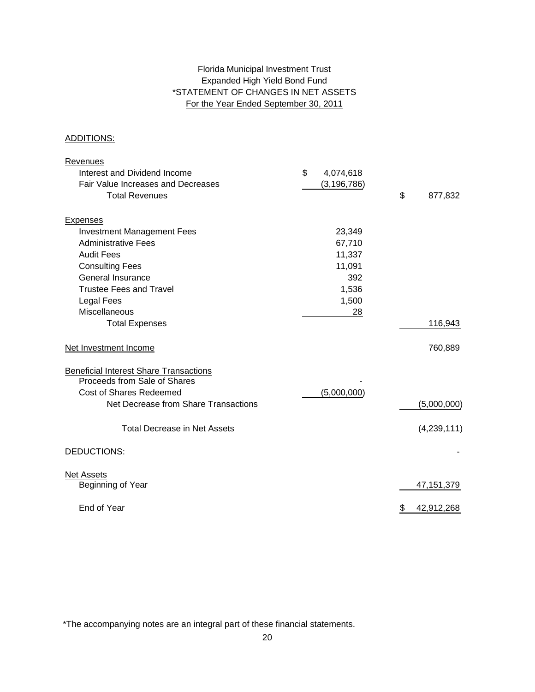# Expanded High Yield Bond Fund \*STATEMENT OF CHANGES IN NET ASSETS For the Year Ended September 30, 2011 Florida Municipal Investment Trust

### ADDITIONS:

| <b>Revenues</b>                               |                 |                  |
|-----------------------------------------------|-----------------|------------------|
| Interest and Dividend Income                  | \$<br>4,074,618 |                  |
| Fair Value Increases and Decreases            | (3, 196, 786)   |                  |
| <b>Total Revenues</b>                         |                 | \$<br>877,832    |
| <b>Expenses</b>                               |                 |                  |
| <b>Investment Management Fees</b>             | 23,349          |                  |
| <b>Administrative Fees</b>                    | 67,710          |                  |
| <b>Audit Fees</b>                             | 11,337          |                  |
| <b>Consulting Fees</b>                        | 11,091          |                  |
| General Insurance                             | 392             |                  |
| <b>Trustee Fees and Travel</b>                | 1,536           |                  |
| <b>Legal Fees</b>                             | 1,500           |                  |
| Miscellaneous                                 | 28              |                  |
| <b>Total Expenses</b>                         |                 | 116,943          |
| Net Investment Income                         |                 | 760,889          |
| <b>Beneficial Interest Share Transactions</b> |                 |                  |
| Proceeds from Sale of Shares                  |                 |                  |
| <b>Cost of Shares Redeemed</b>                | (5,000,000)     |                  |
| Net Decrease from Share Transactions          |                 | (5,000,000)      |
| <b>Total Decrease in Net Assets</b>           |                 | (4,239,111)      |
| DEDUCTIONS:                                   |                 |                  |
| <b>Net Assets</b>                             |                 |                  |
| Beginning of Year                             |                 | 47, 151, 379     |
| End of Year                                   |                 | 42,912,268<br>\$ |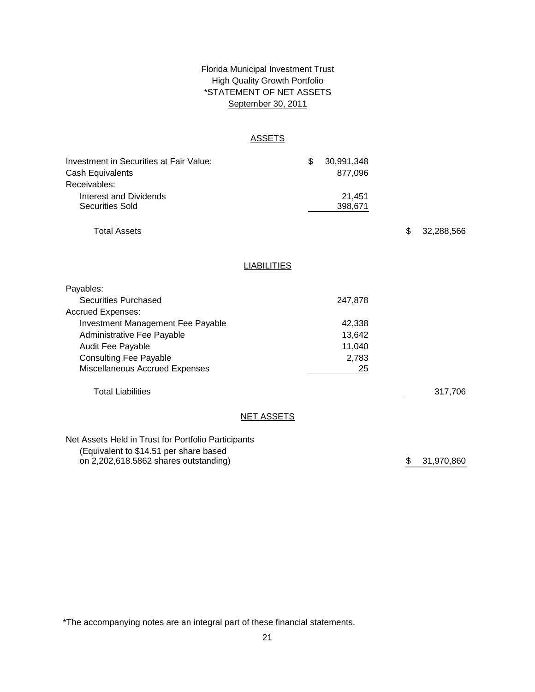# \*STATEMENT OF NET ASSETS Florida Municipal Investment Trust High Quality Growth Portfolio September 30, 2011

### **ASSETS**

| Investment in Securities at Fair Value:<br><b>Cash Equivalents</b> |                    | \$<br>30,991,348<br>877,096 |    |            |
|--------------------------------------------------------------------|--------------------|-----------------------------|----|------------|
| Receivables:<br><b>Interest and Dividends</b>                      |                    | 21,451                      |    |            |
| <b>Securities Sold</b>                                             |                    | 398,671                     |    |            |
| <b>Total Assets</b>                                                |                    |                             | \$ | 32,288,566 |
|                                                                    | <b>LIABILITIES</b> |                             |    |            |
|                                                                    |                    |                             |    |            |
| Payables:                                                          |                    |                             |    |            |
| <b>Securities Purchased</b>                                        |                    | 247,878                     |    |            |
| <b>Accrued Expenses:</b>                                           |                    |                             |    |            |
| <b>Investment Management Fee Payable</b>                           |                    | 42,338                      |    |            |
| Administrative Fee Payable                                         |                    | 13,642                      |    |            |
| Audit Fee Payable                                                  |                    | 11,040                      |    |            |
| <b>Consulting Fee Payable</b>                                      |                    | 2,783                       |    |            |
| Miscellaneous Accrued Expenses                                     |                    | 25                          |    |            |
| <b>Total Liabilities</b>                                           |                    |                             |    | 317,706    |
|                                                                    | <b>NET ASSETS</b>  |                             |    |            |
| Net Assets Held in Trust for Portfolio Participants                |                    |                             |    |            |
| (Equivalent to \$14.51 per share based                             |                    |                             |    |            |
| on 2,202,618.5862 shares outstanding)                              |                    |                             | \$ | 31,970,860 |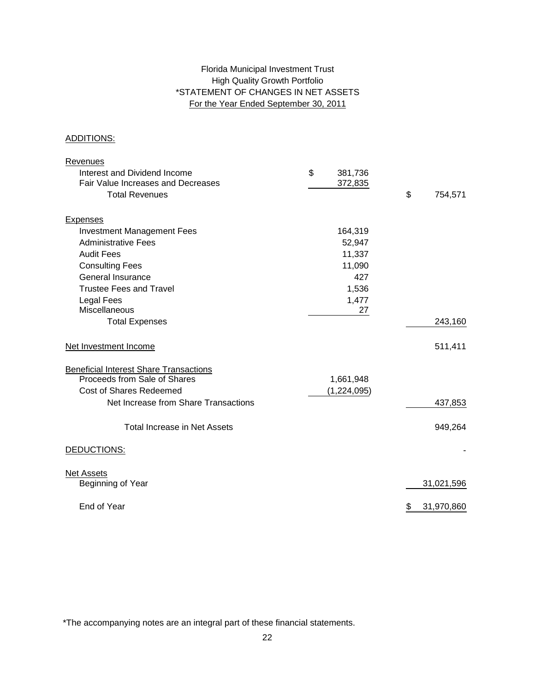# High Quality Growth Portfolio \*STATEMENT OF CHANGES IN NET ASSETS For the Year Ended September 30, 2011 Florida Municipal Investment Trust

### ADDITIONS:

| <b>Revenues</b>                               |               |                  |
|-----------------------------------------------|---------------|------------------|
| Interest and Dividend Income                  | \$<br>381,736 |                  |
| Fair Value Increases and Decreases            | 372,835       |                  |
| <b>Total Revenues</b>                         |               | \$<br>754,571    |
| <b>Expenses</b>                               |               |                  |
| <b>Investment Management Fees</b>             | 164,319       |                  |
| <b>Administrative Fees</b>                    | 52,947        |                  |
| <b>Audit Fees</b>                             | 11,337        |                  |
| <b>Consulting Fees</b>                        | 11,090        |                  |
| General Insurance                             | 427           |                  |
| <b>Trustee Fees and Travel</b>                | 1,536         |                  |
| <b>Legal Fees</b>                             | 1,477         |                  |
| <b>Miscellaneous</b>                          | 27            |                  |
| <b>Total Expenses</b>                         |               | 243,160          |
| Net Investment Income                         |               | 511,411          |
| <b>Beneficial Interest Share Transactions</b> |               |                  |
| Proceeds from Sale of Shares                  | 1,661,948     |                  |
| <b>Cost of Shares Redeemed</b>                | (1,224,095)   |                  |
| Net Increase from Share Transactions          |               | 437,853          |
| <b>Total Increase in Net Assets</b>           |               | 949,264          |
| DEDUCTIONS:                                   |               |                  |
| <b>Net Assets</b>                             |               |                  |
| Beginning of Year                             |               | 31,021,596       |
| End of Year                                   |               | 31,970,860<br>\$ |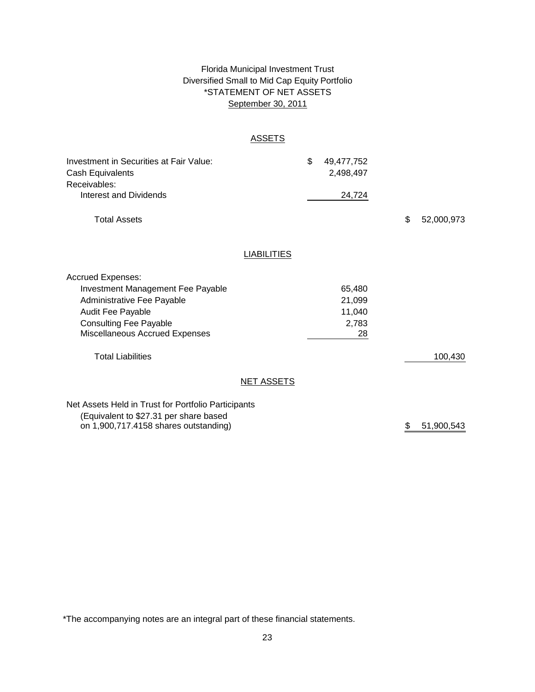# \*STATEMENT OF NET ASSETS Florida Municipal Investment Trust Diversified Small to Mid Cap Equity Portfolio September 30, 2011

### **ASSETS**

| Investment in Securities at Fair Value:<br>Cash Equivalents<br>Receivables:<br><b>Interest and Dividends</b>                                                                               |                    | \$<br>49,477,752<br>2,498,497<br>24,724   |    |            |
|--------------------------------------------------------------------------------------------------------------------------------------------------------------------------------------------|--------------------|-------------------------------------------|----|------------|
| <b>Total Assets</b>                                                                                                                                                                        |                    |                                           | \$ | 52,000,973 |
|                                                                                                                                                                                            | <b>LIABILITIES</b> |                                           |    |            |
| <b>Accrued Expenses:</b><br>Investment Management Fee Payable<br>Administrative Fee Payable<br>Audit Fee Payable<br><b>Consulting Fee Payable</b><br><b>Miscellaneous Accrued Expenses</b> |                    | 65,480<br>21,099<br>11,040<br>2,783<br>28 |    |            |
| <b>Total Liabilities</b>                                                                                                                                                                   |                    |                                           |    | 100,430    |
|                                                                                                                                                                                            | <b>NET ASSETS</b>  |                                           |    |            |
| Net Assets Held in Trust for Portfolio Participants<br>(Equivalent to \$27.31 per share based                                                                                              |                    |                                           |    |            |

on 1,900,717.4158 shares outstanding)

\$ 51,900,543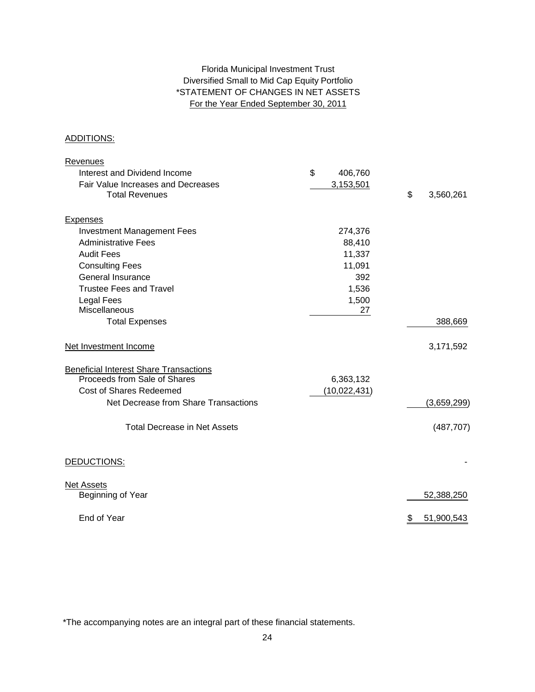# \*STATEMENT OF CHANGES IN NET ASSETS For the Year Ended September 30, 2011 Florida Municipal Investment Trust Diversified Small to Mid Cap Equity Portfolio

### ADDITIONS:

| <b>Revenues</b>                               |               |                  |
|-----------------------------------------------|---------------|------------------|
| Interest and Dividend Income                  | \$<br>406,760 |                  |
| Fair Value Increases and Decreases            | 3,153,501     |                  |
| <b>Total Revenues</b>                         |               | \$<br>3,560,261  |
| <b>Expenses</b>                               |               |                  |
| <b>Investment Management Fees</b>             | 274,376       |                  |
| <b>Administrative Fees</b>                    | 88,410        |                  |
| <b>Audit Fees</b>                             | 11,337        |                  |
| <b>Consulting Fees</b>                        | 11,091        |                  |
| General Insurance                             | 392           |                  |
| <b>Trustee Fees and Travel</b>                | 1,536         |                  |
| <b>Legal Fees</b>                             | 1,500         |                  |
| Miscellaneous                                 | 27            |                  |
| <b>Total Expenses</b>                         |               | 388,669          |
| Net Investment Income                         |               | 3,171,592        |
| <b>Beneficial Interest Share Transactions</b> |               |                  |
| Proceeds from Sale of Shares                  | 6,363,132     |                  |
| Cost of Shares Redeemed                       | (10,022,431)  |                  |
| Net Decrease from Share Transactions          |               | (3,659,299)      |
| <b>Total Decrease in Net Assets</b>           |               | (487, 707)       |
| DEDUCTIONS:                                   |               |                  |
| <b>Net Assets</b>                             |               |                  |
| Beginning of Year                             |               | 52,388,250       |
| End of Year                                   |               | 51,900,543<br>\$ |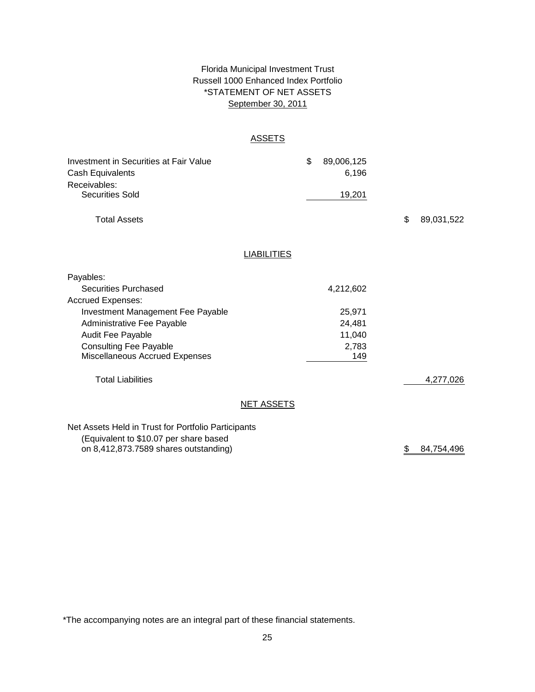# Florida Municipal Investment Trust Russell 1000 Enhanced Index Portfolio September 30, 2011 \*STATEMENT OF NET ASSETS

### ASSETS

| Investment in Securities at Fair Value<br>Cash Equivalents |                    | \$<br>89,006,125<br>6,196 |    |            |
|------------------------------------------------------------|--------------------|---------------------------|----|------------|
| Receivables:<br><b>Securities Sold</b>                     |                    | 19,201                    |    |            |
| <b>Total Assets</b>                                        |                    |                           | \$ | 89,031,522 |
|                                                            | <b>LIABILITIES</b> |                           |    |            |
| Payables:                                                  |                    |                           |    |            |
| <b>Securities Purchased</b>                                |                    | 4,212,602                 |    |            |
| <b>Accrued Expenses:</b>                                   |                    |                           |    |            |
| Investment Management Fee Payable                          |                    | 25,971                    |    |            |
| Administrative Fee Payable                                 |                    | 24,481                    |    |            |
| Audit Fee Payable                                          |                    | 11,040                    |    |            |
| <b>Consulting Fee Payable</b>                              |                    | 2,783                     |    |            |
| Miscellaneous Accrued Expenses                             |                    | 149                       |    |            |
| <b>Total Liabilities</b>                                   |                    |                           |    | 4,277,026  |
|                                                            | <b>NET ASSETS</b>  |                           |    |            |
| Net Assets Held in Trust for Portfolio Participants        |                    |                           |    |            |
| (Equivalent to \$10.07 per share based                     |                    |                           |    |            |
| on 8,412,873.7589 shares outstanding)                      |                    |                           | \$ | 84,754,496 |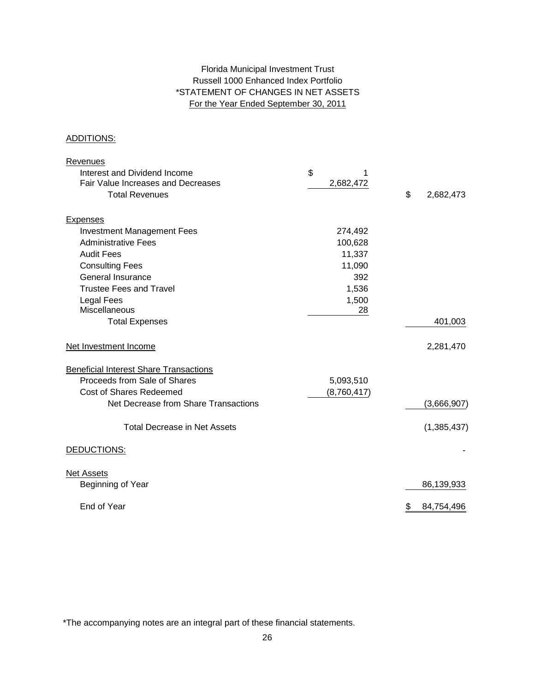# Florida Municipal Investment Trust Russell 1000 Enhanced Index Portfolio \*STATEMENT OF CHANGES IN NET ASSETS For the Year Ended September 30, 2011

### ADDITIONS:

| Revenues                                      |             |                  |
|-----------------------------------------------|-------------|------------------|
| Interest and Dividend Income                  | \$          |                  |
| Fair Value Increases and Decreases            | 2,682,472   |                  |
| <b>Total Revenues</b>                         |             | \$<br>2,682,473  |
| <b>Expenses</b>                               |             |                  |
| <b>Investment Management Fees</b>             | 274,492     |                  |
| <b>Administrative Fees</b>                    | 100,628     |                  |
| <b>Audit Fees</b>                             | 11,337      |                  |
| <b>Consulting Fees</b>                        | 11,090      |                  |
| General Insurance                             | 392         |                  |
| <b>Trustee Fees and Travel</b>                | 1,536       |                  |
| <b>Legal Fees</b>                             | 1,500       |                  |
| Miscellaneous                                 | 28          |                  |
| <b>Total Expenses</b>                         |             | 401,003          |
| Net Investment Income                         |             | 2,281,470        |
| <b>Beneficial Interest Share Transactions</b> |             |                  |
| Proceeds from Sale of Shares                  | 5,093,510   |                  |
| <b>Cost of Shares Redeemed</b>                | (8,760,417) |                  |
| Net Decrease from Share Transactions          |             | (3,666,907)      |
| <b>Total Decrease in Net Assets</b>           |             | (1,385,437)      |
| DEDUCTIONS:                                   |             |                  |
| <b>Net Assets</b>                             |             |                  |
| Beginning of Year                             |             | 86,139,933       |
| End of Year                                   |             | 84,754,496<br>\$ |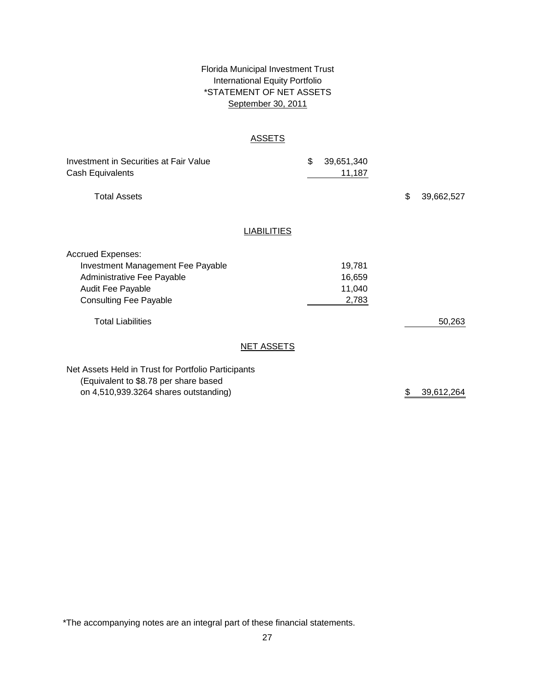# \*STATEMENT OF NET ASSETS Florida Municipal Investment Trust International Equity Portfolio September 30, 2011

### ASSETS

| Investment in Securities at Fair Value<br>Cash Equivalents                                                                                                      |                    | \$<br>39,651,340<br>11,187          |                  |
|-----------------------------------------------------------------------------------------------------------------------------------------------------------------|--------------------|-------------------------------------|------------------|
| <b>Total Assets</b>                                                                                                                                             |                    |                                     | \$<br>39,662,527 |
|                                                                                                                                                                 | <b>LIABILITIES</b> |                                     |                  |
| <b>Accrued Expenses:</b><br><b>Investment Management Fee Payable</b><br>Administrative Fee Payable<br><b>Audit Fee Payable</b><br><b>Consulting Fee Payable</b> |                    | 19,781<br>16,659<br>11,040<br>2,783 |                  |
| <b>Total Liabilities</b>                                                                                                                                        |                    |                                     | 50,263           |
|                                                                                                                                                                 | <b>NET ASSETS</b>  |                                     |                  |
| Net Assets Held in Trust for Portfolio Participants<br>(Equivalent to \$8.78 per share based<br>on 4,510,939.3264 shares outstanding)                           |                    |                                     | \$<br>39,612,264 |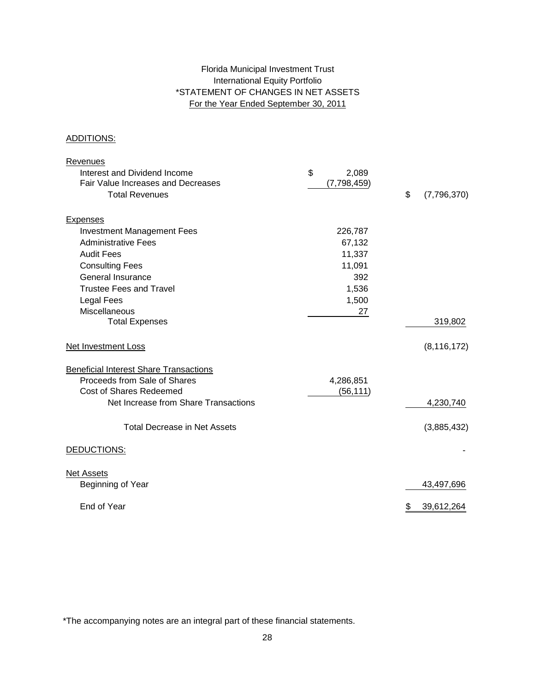# Florida Municipal Investment Trust International Equity Portfolio \*STATEMENT OF CHANGES IN NET ASSETS For the Year Ended September 30, 2011

### ADDITIONS:

| Revenues                                      |             |                   |
|-----------------------------------------------|-------------|-------------------|
| Interest and Dividend Income                  | \$<br>2,089 |                   |
| Fair Value Increases and Decreases            | (7,798,459) |                   |
| <b>Total Revenues</b>                         |             | \$<br>(7,796,370) |
|                                               |             |                   |
| <b>Expenses</b>                               |             |                   |
| <b>Investment Management Fees</b>             | 226,787     |                   |
| <b>Administrative Fees</b>                    | 67,132      |                   |
| <b>Audit Fees</b>                             | 11,337      |                   |
| <b>Consulting Fees</b>                        | 11,091      |                   |
| General Insurance                             | 392         |                   |
| <b>Trustee Fees and Travel</b>                | 1,536       |                   |
| <b>Legal Fees</b>                             | 1,500       |                   |
| Miscellaneous                                 | 27          |                   |
| <b>Total Expenses</b>                         |             | 319,802           |
| <b>Net Investment Loss</b>                    |             | (8, 116, 172)     |
| <b>Beneficial Interest Share Transactions</b> |             |                   |
| Proceeds from Sale of Shares                  | 4,286,851   |                   |
| <b>Cost of Shares Redeemed</b>                | (56, 111)   |                   |
| Net Increase from Share Transactions          |             | 4,230,740         |
| <b>Total Decrease in Net Assets</b>           |             | (3,885,432)       |
|                                               |             |                   |
| DEDUCTIONS:                                   |             |                   |
| <b>Net Assets</b>                             |             |                   |
| Beginning of Year                             |             | 43,497,696        |
| End of Year                                   |             | \$<br>39,612,264  |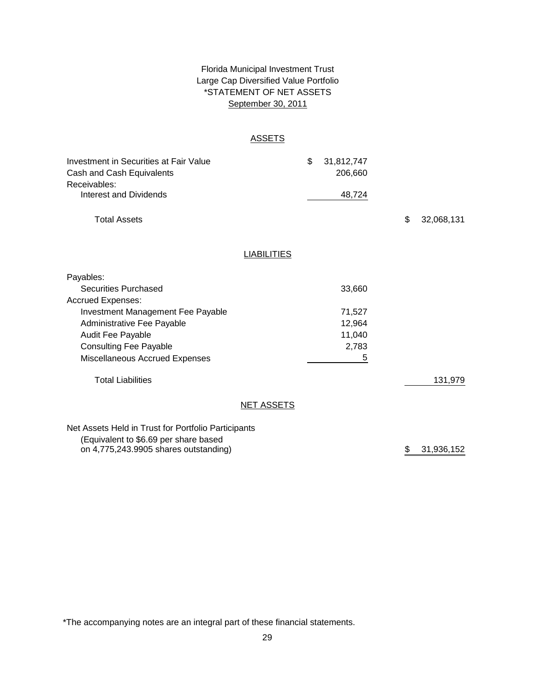# \*STATEMENT OF NET ASSETS Florida Municipal Investment Trust Large Cap Diversified Value Portfolio September 30, 2011

### ASSETS

| Investment in Securities at Fair Value<br>Cash and Cash Equivalents |                    | \$<br>31,812,747<br>206,660 |                  |  |
|---------------------------------------------------------------------|--------------------|-----------------------------|------------------|--|
| Receivables:<br><b>Interest and Dividends</b>                       |                    | 48,724                      |                  |  |
|                                                                     |                    |                             |                  |  |
| <b>Total Assets</b>                                                 |                    |                             | \$<br>32,068,131 |  |
|                                                                     |                    |                             |                  |  |
|                                                                     | <b>LIABILITIES</b> |                             |                  |  |
| Payables:                                                           |                    |                             |                  |  |
| Securities Purchased                                                |                    | 33,660                      |                  |  |
| <b>Accrued Expenses:</b>                                            |                    |                             |                  |  |
| Investment Management Fee Payable                                   |                    | 71,527                      |                  |  |
| Administrative Fee Payable                                          |                    | 12,964                      |                  |  |
| Audit Fee Payable                                                   |                    | 11,040                      |                  |  |
| <b>Consulting Fee Payable</b>                                       |                    | 2,783                       |                  |  |
| Miscellaneous Accrued Expenses                                      |                    | 5                           |                  |  |
| <b>Total Liabilities</b>                                            |                    |                             | 131,979          |  |
|                                                                     | <b>NET ASSETS</b>  |                             |                  |  |
| Net Assets Held in Trust for Portfolio Participants                 |                    |                             |                  |  |
| (Equivalent to \$6.69 per share based                               |                    |                             |                  |  |
| on 4,775,243.9905 shares outstanding)                               |                    |                             | \$<br>31,936,152 |  |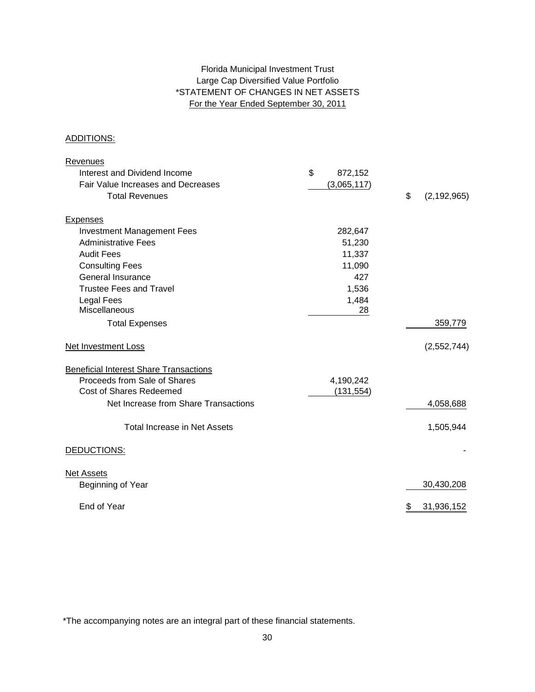# Large Cap Diversified Value Portfolio \*STATEMENT OF CHANGES IN NET ASSETS For the Year Ended September 30, 2011 Florida Municipal Investment Trust

### ADDITIONS:

| Revenues                                      |               |                     |
|-----------------------------------------------|---------------|---------------------|
| Interest and Dividend Income                  | \$<br>872,152 |                     |
| Fair Value Increases and Decreases            | (3,065,117)   |                     |
| <b>Total Revenues</b>                         |               | \$<br>(2, 192, 965) |
|                                               |               |                     |
| <b>Expenses</b>                               |               |                     |
| <b>Investment Management Fees</b>             | 282,647       |                     |
| <b>Administrative Fees</b>                    | 51,230        |                     |
| <b>Audit Fees</b>                             | 11,337        |                     |
| <b>Consulting Fees</b>                        | 11,090        |                     |
| General Insurance                             | 427           |                     |
| <b>Trustee Fees and Travel</b>                | 1,536         |                     |
| <b>Legal Fees</b>                             | 1,484         |                     |
| Miscellaneous                                 | 28            |                     |
| <b>Total Expenses</b>                         |               | 359,779             |
| <b>Net Investment Loss</b>                    |               | (2,552,744)         |
| <b>Beneficial Interest Share Transactions</b> |               |                     |
| Proceeds from Sale of Shares                  | 4,190,242     |                     |
| Cost of Shares Redeemed                       | (131, 554)    |                     |
| Net Increase from Share Transactions          |               | 4,058,688           |
| <b>Total Increase in Net Assets</b>           |               | 1,505,944           |
|                                               |               |                     |
| DEDUCTIONS:                                   |               |                     |
| <b>Net Assets</b>                             |               |                     |
| Beginning of Year                             |               | 30,430,208          |
| End of Year                                   |               | 31,936,152<br>\$    |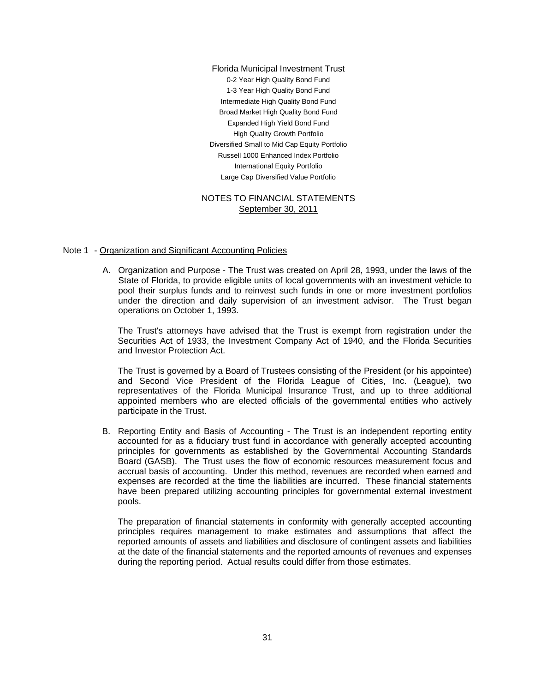0-2 Year High Quality Bond Fund International Equity Portfolio Florida Municipal Investment Trust Intermediate High Quality Bond Fund 1-3 Year High Quality Bond Fund Broad Market High Quality Bond Fund High Quality Growth Portfolio Diversified Small to Mid Cap Equity Portfolio Large Cap Diversified Value Portfolio Expanded High Yield Bond Fund Russell 1000 Enhanced Index Portfolio

### NOTES TO FINANCIAL STATEMENTS September 30, 2011

#### Note 1 - Organization and Significant Accounting Policies

A. Organization and Purpose - The Trust was created on April 28, 1993, under the laws of the State of Florida, to provide eligible units of local governments with an investment vehicle to pool their surplus funds and to reinvest such funds in one or more investment portfolios under the direction and daily supervision of an investment advisor. The Trust began operations on October 1, 1993.

The Trust's attorneys have advised that the Trust is exempt from registration under the Securities Act of 1933, the Investment Company Act of 1940, and the Florida Securities and Investor Protection Act.

The Trust is governed by a Board of Trustees consisting of the President (or his appointee) and Second Vice President of the Florida League of Cities, Inc. (League), two representatives of the Florida Municipal Insurance Trust, and up to three additional appointed members who are elected officials of the governmental entities who actively participate in the Trust.

B. Reporting Entity and Basis of Accounting - The Trust is an independent reporting entity accounted for as a fiduciary trust fund in accordance with generally accepted accounting principles for governments as established by the Governmental Accounting Standards Board (GASB). The Trust uses the flow of economic resources measurement focus and accrual basis of accounting. Under this method, revenues are recorded when earned and expenses are recorded at the time the liabilities are incurred. These financial statements have been prepared utilizing accounting principles for governmental external investment pools.

The preparation of financial statements in conformity with generally accepted accounting principles requires management to make estimates and assumptions that affect the reported amounts of assets and liabilities and disclosure of contingent assets and liabilities at the date of the financial statements and the reported amounts of revenues and expenses during the reporting period. Actual results could differ from those estimates.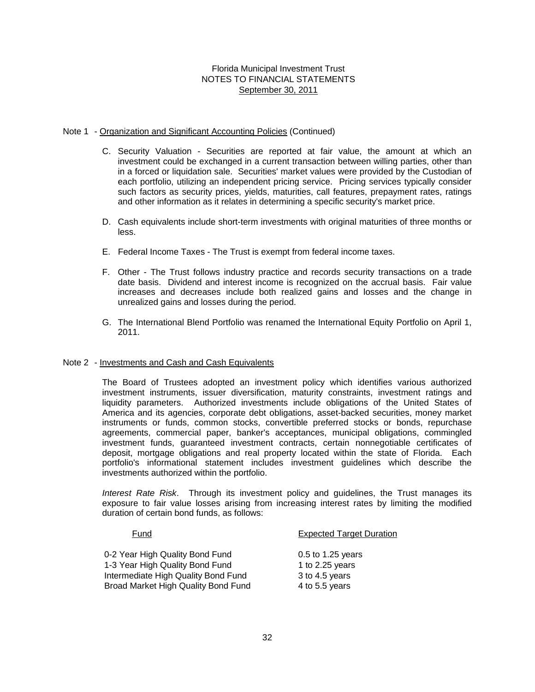### Note 1 - Organization and Significant Accounting Policies (Continued)

- C. Security Valuation Securities are reported at fair value, the amount at which an investment could be exchanged in a current transaction between willing parties, other than in a forced or liquidation sale. Securities' market values were provided by the Custodian of each portfolio, utilizing an independent pricing service. Pricing services typically consider such factors as security prices, yields, maturities, call features, prepayment rates, ratings and other information as it relates in determining a specific security's market price.
- D. Cash equivalents include short-term investments with original maturities of three months or less.
- E. Federal Income Taxes The Trust is exempt from federal income taxes.
- F. Other The Trust follows industry practice and records security transactions on a trade date basis. Dividend and interest income is recognized on the accrual basis. Fair value increases and decreases include both realized gains and losses and the change in unrealized gains and losses during the period.
- G. The International Blend Portfolio was renamed the International Equity Portfolio on April 1, 2011.

### Note 2 - Investments and Cash and Cash Equivalents

The Board of Trustees adopted an investment policy which identifies various authorized investment instruments, issuer diversification, maturity constraints, investment ratings and liquidity parameters. Authorized investments include obligations of the United States of America and its agencies, corporate debt obligations, asset-backed securities, money market instruments or funds, common stocks, convertible preferred stocks or bonds, repurchase agreements, commercial paper, banker's acceptances, municipal obligations, commingled investment funds, guaranteed investment contracts, certain nonnegotiable certificates of deposit, mortgage obligations and real property located within the state of Florida. Each portfolio's informational statement includes investment guidelines which describe the investments authorized within the portfolio.

*Interest Rate Risk*. Through its investment policy and guidelines, the Trust manages its exposure to fair value losses arising from increasing interest rates by limiting the modified duration of certain bond funds, as follows:

| Fund                                       | <b>Expected Target Duration</b> |
|--------------------------------------------|---------------------------------|
| 0-2 Year High Quality Bond Fund            | $0.5$ to 1.25 years             |
| 1-3 Year High Quality Bond Fund            | 1 to $2.25$ years               |
| Intermediate High Quality Bond Fund        | 3 to 4.5 years                  |
| <b>Broad Market High Quality Bond Fund</b> | 4 to 5.5 years                  |
|                                            |                                 |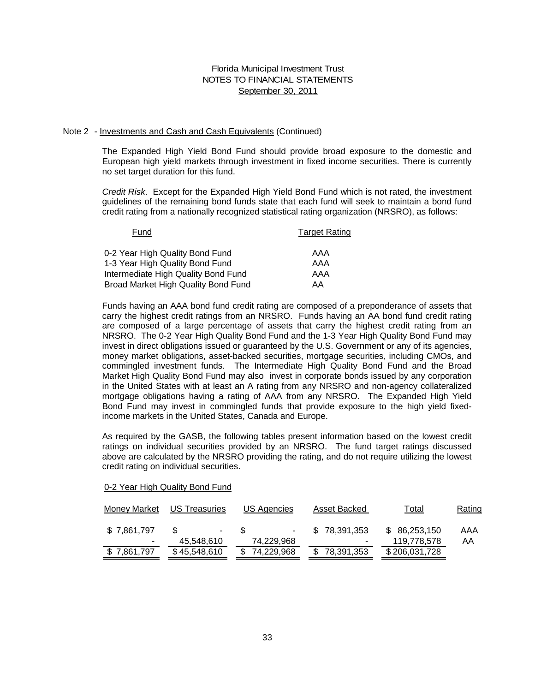#### Note 2 - Investments and Cash and Cash Equivalents (Continued)

The Expanded High Yield Bond Fund should provide broad exposure to the domestic and European high yield markets through investment in fixed income securities. There is currently no set target duration for this fund.

*Credit Risk*. Except for the Expanded High Yield Bond Fund which is not rated, the investment guidelines of the remaining bond funds state that each fund will seek to maintain a bond fund credit rating from a nationally recognized statistical rating organization (NRSRO), as follows:

| Fund                                | <b>Target Rating</b> |
|-------------------------------------|----------------------|
| 0-2 Year High Quality Bond Fund     | AAA                  |
| 1-3 Year High Quality Bond Fund     | AAA                  |
| Intermediate High Quality Bond Fund | AAA                  |
| Broad Market High Quality Bond Fund | AA                   |

Funds having an AAA bond fund credit rating are composed of a preponderance of assets that carry the highest credit ratings from an NRSRO. Funds having an AA bond fund credit rating are composed of a large percentage of assets that carry the highest credit rating from an NRSRO. The 0-2 Year High Quality Bond Fund and the 1-3 Year High Quality Bond Fund may invest in direct obligations issued or guaranteed by the U.S. Government or any of its agencies, money market obligations, asset-backed securities, mortgage securities, including CMOs, and commingled investment funds. The Intermediate High Quality Bond Fund and the Broad Market High Quality Bond Fund may also invest in corporate bonds issued by any corporation in the United States with at least an A rating from any NRSRO and non-agency collateralized mortgage obligations having a rating of AAA from any NRSRO. The Expanded High Yield Bond Fund may invest in commingled funds that provide exposure to the high yield fixedincome markets in the United States, Canada and Europe.

As required by the GASB, the following tables present information based on the lowest credit ratings on individual securities provided by an NRSRO. The fund target ratings discussed above are calculated by the NRSRO providing the rating, and do not require utilizing the lowest credit rating on individual securities.

|--|

| <b>Money Market</b> | <b>US Treasuries</b> | US Agencies | Asset Backed | Total         | Rating |
|---------------------|----------------------|-------------|--------------|---------------|--------|
| \$7,861,797         | ۰.                   | $\sim$      | \$78.391.353 | \$86,253,150  | AAA    |
| -                   | 45,548,610           | 74,229,968  |              | 119,778,578   | AA     |
| \$7,861,797         | \$45,548,610         | 74,229,968  | 78,391,353   | \$206,031,728 |        |
|                     |                      |             |              |               |        |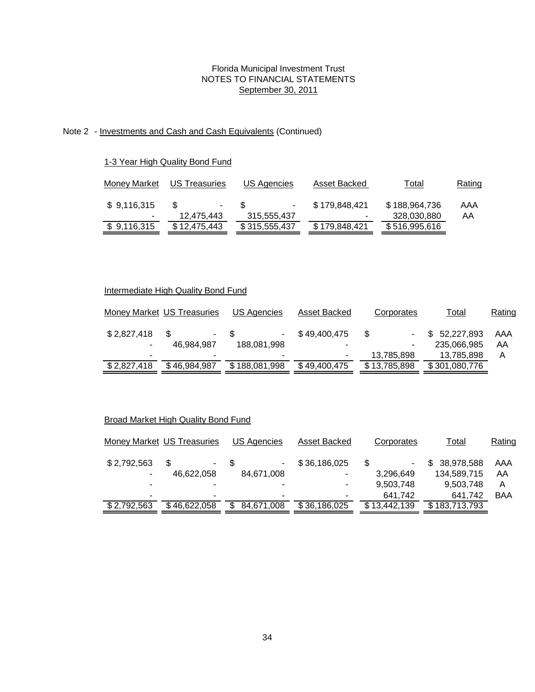# Note 2 - Investments and Cash and Cash Equivalents (Continued)

### 1-3 Year High Quality Bond Fund

| Money Market | US Treasuries | US Agencies   | Asset Backed  | Total         | Rating |
|--------------|---------------|---------------|---------------|---------------|--------|
| \$9,116,315  | S.<br>۰       | ٠.            | \$179,848,421 | \$188,964,736 | AAA    |
| ۰            | 12,475,443    | 315,555,437   | ۰             | 328,030,880   | AA     |
| \$9,116,315  | \$12,475,443  | \$315,555,437 | \$179,848,421 | \$516,995,616 |        |
|              |               |               |               |               |        |

# Intermediate High Quality Bond Fund

|             | Money Market US Treasuries | US Agencies   | Asset Backed | Corporates   | Total         | Rating |
|-------------|----------------------------|---------------|--------------|--------------|---------------|--------|
| \$2,827,418 | ж.                         | ۰             | \$49,400,475 | S            | \$52,227,893  | AAA    |
|             | 46,984,987                 | 188,081,998   | -            |              | 235,066,985   | AA     |
|             |                            | ۰             |              | 13,785,898   | 13,785,898    | Α      |
| \$2,827,418 | \$46,984,987               | \$188,081,998 | \$49,400,475 | \$13,785,898 | \$301,080,776 |        |

# Broad Market High Quality Bond Fund

|             | Money Market US Treasuries | US Agencies | Asset Backed | Corporates   | Total         | Rating     |
|-------------|----------------------------|-------------|--------------|--------------|---------------|------------|
| \$2,792,563 | S<br>$\sim$                | ۰.          | \$36,186,025 | \$           | \$38,978,588  | AAA        |
|             | 46,622,058                 | 84,671,008  | ۰            | 3,296,649    | 134,589,715   | AA         |
|             |                            |             | ۰            | 9,503,748    | 9,503,748     | A          |
|             | ۰                          | ۰           | ۰            | 641.742      | 641,742       | <b>BAA</b> |
| \$2,792,563 | \$46,622,058               | 84,671,008  | \$36,186,025 | \$13,442,139 | \$183,713,793 |            |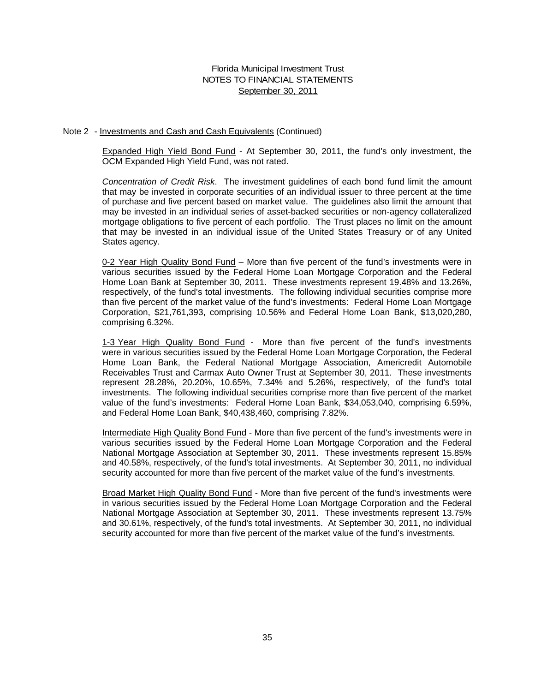#### Note 2 - Investments and Cash and Cash Equivalents (Continued)

Expanded High Yield Bond Fund - At September 30, 2011, the fund's only investment, the OCM Expanded High Yield Fund, was not rated.

*Concentration of Credit Risk*. The investment guidelines of each bond fund limit the amount that may be invested in corporate securities of an individual issuer to three percent at the time of purchase and five percent based on market value. The guidelines also limit the amount that may be invested in an individual series of asset-backed securities or non-agency collateralized mortgage obligations to five percent of each portfolio. The Trust places no limit on the amount that may be invested in an individual issue of the United States Treasury or of any United States agency.

0-2 Year High Quality Bond Fund – More than five percent of the fund's investments were in various securities issued by the Federal Home Loan Mortgage Corporation and the Federal Home Loan Bank at September 30, 2011. These investments represent 19.48% and 13.26%, respectively, of the fund's total investments. The following individual securities comprise more than five percent of the market value of the fund's investments: Federal Home Loan Mortgage Corporation, \$21,761,393, comprising 10.56% and Federal Home Loan Bank, \$13,020,280, comprising 6.32%.

1-3 Year High Quality Bond Fund - More than five percent of the fund's investments were in various securities issued by the Federal Home Loan Mortgage Corporation, the Federal Home Loan Bank, the Federal National Mortgage Association, Americredit Automobile Receivables Trust and Carmax Auto Owner Trust at September 30, 2011. These investments represent 28.28%, 20.20%, 10.65%, 7.34% and 5.26%, respectively, of the fund's total investments. The following individual securities comprise more than five percent of the market value of the fund's investments: Federal Home Loan Bank, \$34,053,040, comprising 6.59%, and Federal Home Loan Bank, \$40,438,460, comprising 7.82%.

Intermediate High Quality Bond Fund - More than five percent of the fund's investments were in various securities issued by the Federal Home Loan Mortgage Corporation and the Federal National Mortgage Association at September 30, 2011. These investments represent 15.85% and 40.58%, respectively, of the fund's total investments. At September 30, 2011, no individual security accounted for more than five percent of the market value of the fund's investments.

Broad Market High Quality Bond Fund - More than five percent of the fund's investments were in various securities issued by the Federal Home Loan Mortgage Corporation and the Federal National Mortgage Association at September 30, 2011. These investments represent 13.75% and 30.61%, respectively, of the fund's total investments. At September 30, 2011, no individual security accounted for more than five percent of the market value of the fund's investments.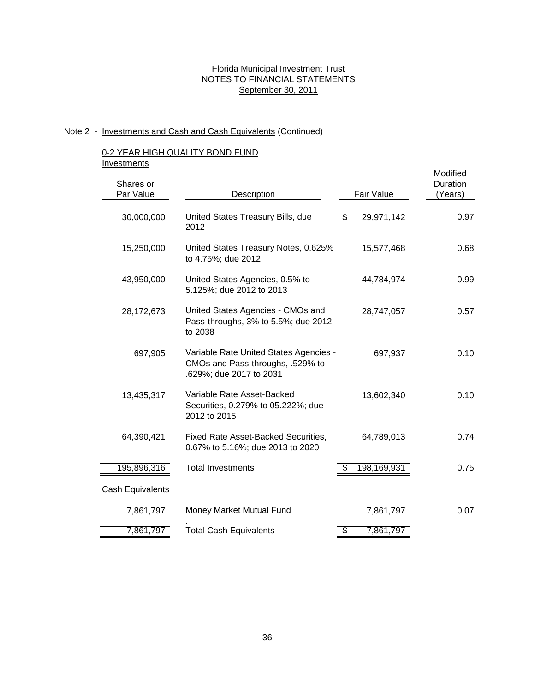# Note 2 - Investments and Cash and Cash Equivalents (Continued)

### 0-2 YEAR HIGH QUALITY BOND FUND **Investments**

|                         |                                                                                                       |                  | Modified            |
|-------------------------|-------------------------------------------------------------------------------------------------------|------------------|---------------------|
| Shares or<br>Par Value  | Description                                                                                           | Fair Value       | Duration<br>(Years) |
| 30,000,000              | United States Treasury Bills, due<br>2012                                                             | 29,971,142<br>\$ | 0.97                |
| 15,250,000              | United States Treasury Notes, 0.625%<br>to 4.75%; due 2012                                            | 15,577,468       | 0.68                |
| 43,950,000              | United States Agencies, 0.5% to<br>5.125%; due 2012 to 2013                                           | 44,784,974       | 0.99                |
| 28,172,673              | United States Agencies - CMOs and<br>Pass-throughs, 3% to 5.5%; due 2012<br>to 2038                   | 28,747,057       | 0.57                |
| 697,905                 | Variable Rate United States Agencies -<br>CMOs and Pass-throughs, .529% to<br>.629%; due 2017 to 2031 | 697,937          | 0.10                |
| 13,435,317              | Variable Rate Asset-Backed<br>Securities, 0.279% to 05.222%; due<br>2012 to 2015                      | 13,602,340       | 0.10                |
| 64,390,421              | Fixed Rate Asset-Backed Securities,<br>0.67% to 5.16%; due 2013 to 2020                               | 64,789,013       | 0.74                |
| 195,896,316             | <b>Total Investments</b>                                                                              | 198,169,931      | 0.75                |
| <b>Cash Equivalents</b> |                                                                                                       |                  |                     |
| 7,861,797               | Money Market Mutual Fund                                                                              | 7,861,797        | 0.07                |
| 7,861,797               | <b>Total Cash Equivalents</b>                                                                         | 7,861,797<br>\$  |                     |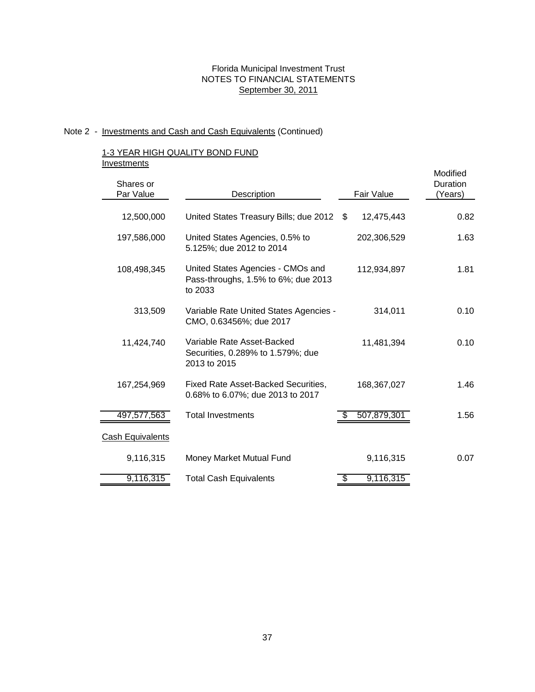# Note 2 - Investments and Cash and Cash Equivalents (Continued)

### 1-3 YEAR HIGH QUALITY BOND FUND **Investments**

| <br>Shares or           |                                                                                     |                 | Modified<br>Duration |
|-------------------------|-------------------------------------------------------------------------------------|-----------------|----------------------|
| Par Value               | Description                                                                         | Fair Value      | (Years)              |
|                         |                                                                                     |                 |                      |
| 12,500,000              | United States Treasury Bills; due 2012 \$                                           | 12,475,443      | 0.82                 |
| 197,586,000             | United States Agencies, 0.5% to<br>5.125%; due 2012 to 2014                         | 202,306,529     | 1.63                 |
| 108,498,345             | United States Agencies - CMOs and<br>Pass-throughs, 1.5% to 6%; due 2013<br>to 2033 | 112,934,897     | 1.81                 |
| 313,509                 | Variable Rate United States Agencies -<br>CMO, 0.63456%; due 2017                   | 314,011         | 0.10                 |
| 11,424,740              | Variable Rate Asset-Backed<br>Securities, 0.289% to 1.579%; due<br>2013 to 2015     | 11,481,394      | 0.10                 |
| 167,254,969             | Fixed Rate Asset-Backed Securities,<br>0.68% to 6.07%; due 2013 to 2017             | 168,367,027     | 1.46                 |
| 497,577,563             | <b>Total Investments</b>                                                            | 507,879,301     | 1.56                 |
| <b>Cash Equivalents</b> |                                                                                     |                 |                      |
| 9,116,315               | Money Market Mutual Fund                                                            | 9,116,315       | 0.07                 |
| 9,116,315               | <b>Total Cash Equivalents</b>                                                       | 9,116,315<br>\$ |                      |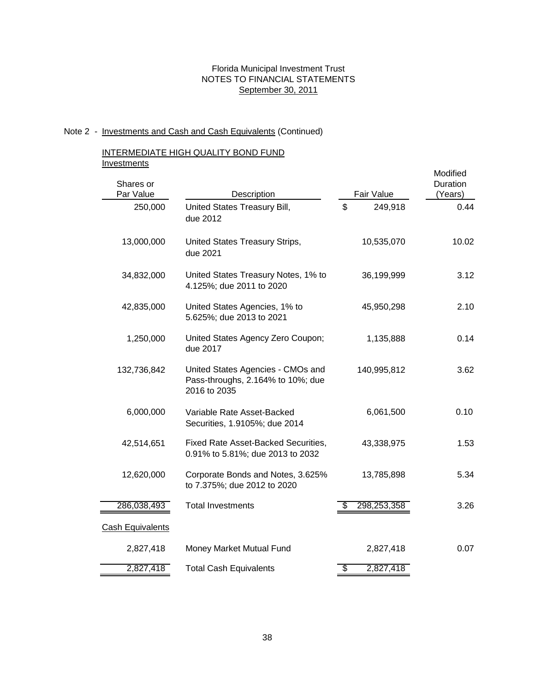#### Note 2 - Investments and Cash and Cash Equivalents (Continued)

### INTERMEDIATE HIGH QUALITY BOND FUND **Investments**

| Shares or<br>Par Value  | Description                                                                            |    | Fair Value  | Modified<br>Duration<br>(Years) |
|-------------------------|----------------------------------------------------------------------------------------|----|-------------|---------------------------------|
| 250,000                 | United States Treasury Bill,<br>due 2012                                               | \$ | 249,918     | 0.44                            |
| 13,000,000              | United States Treasury Strips,<br>due 2021                                             |    | 10,535,070  | 10.02                           |
| 34,832,000              | United States Treasury Notes, 1% to<br>4.125%; due 2011 to 2020                        |    | 36,199,999  | 3.12                            |
| 42,835,000              | United States Agencies, 1% to<br>5.625%; due 2013 to 2021                              |    | 45,950,298  | 2.10                            |
| 1,250,000               | United States Agency Zero Coupon;<br>due 2017                                          |    | 1,135,888   | 0.14                            |
| 132,736,842             | United States Agencies - CMOs and<br>Pass-throughs, 2.164% to 10%; due<br>2016 to 2035 |    | 140,995,812 | 3.62                            |
| 6,000,000               | Variable Rate Asset-Backed<br>Securities, 1.9105%; due 2014                            |    | 6,061,500   | 0.10                            |
| 42,514,651              | Fixed Rate Asset-Backed Securities,<br>0.91% to 5.81%; due 2013 to 2032                |    | 43,338,975  | 1.53                            |
| 12,620,000              | Corporate Bonds and Notes, 3.625%<br>to 7.375%; due 2012 to 2020                       |    | 13,785,898  | 5.34                            |
| 286,038,493             | <b>Total Investments</b>                                                               | æ. | 298,253,358 | 3.26                            |
| <b>Cash Equivalents</b> |                                                                                        |    |             |                                 |
| 2,827,418               | Money Market Mutual Fund                                                               |    | 2,827,418   | 0.07                            |
| 2,827,418               | <b>Total Cash Equivalents</b>                                                          | S  | 2,827,418   |                                 |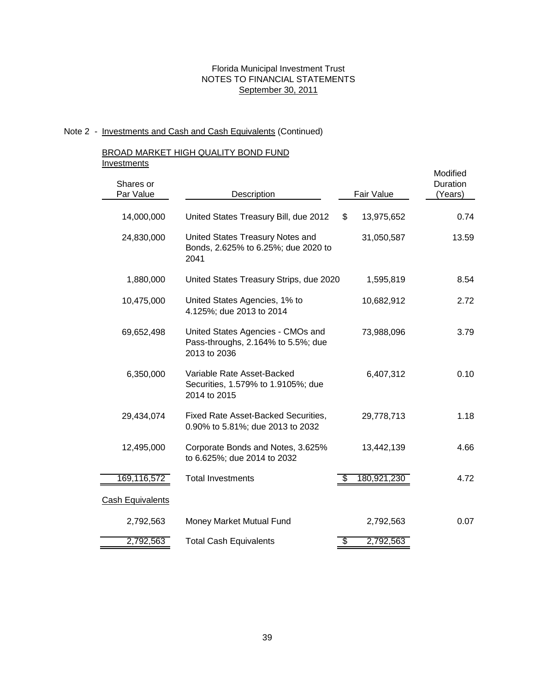# Note 2 - Investments and Cash and Cash Equivalents (Continued)

### BROAD MARKET HIGH QUALITY BOND FUND **Investments**

| Shares or<br>Par Value  | Description                                                                             | Fair Value       | Modified<br>Duration<br>(Years) |
|-------------------------|-----------------------------------------------------------------------------------------|------------------|---------------------------------|
|                         |                                                                                         |                  |                                 |
| 14,000,000              | United States Treasury Bill, due 2012                                                   | \$<br>13,975,652 | 0.74                            |
| 24,830,000              | United States Treasury Notes and<br>Bonds, 2.625% to 6.25%; due 2020 to<br>2041         | 31,050,587       | 13.59                           |
| 1,880,000               | United States Treasury Strips, due 2020                                                 | 1,595,819        | 8.54                            |
| 10,475,000              | United States Agencies, 1% to<br>4.125%; due 2013 to 2014                               | 10,682,912       | 2.72                            |
| 69,652,498              | United States Agencies - CMOs and<br>Pass-throughs, 2.164% to 5.5%; due<br>2013 to 2036 | 73,988,096       | 3.79                            |
| 6,350,000               | Variable Rate Asset-Backed<br>Securities, 1.579% to 1.9105%; due<br>2014 to 2015        | 6,407,312        | 0.10                            |
| 29,434,074              | Fixed Rate Asset-Backed Securities,<br>0.90% to 5.81%; due 2013 to 2032                 | 29,778,713       | 1.18                            |
| 12,495,000              | Corporate Bonds and Notes, 3.625%<br>to 6.625%; due 2014 to 2032                        | 13,442,139       | 4.66                            |
| 169,116,572             | <b>Total Investments</b>                                                                | 180,921,230      | 4.72                            |
| <b>Cash Equivalents</b> |                                                                                         |                  |                                 |
| 2,792,563               | Money Market Mutual Fund                                                                | 2,792,563        | 0.07                            |
| 2,792,563               | <b>Total Cash Equivalents</b>                                                           | \$<br>2,792,563  |                                 |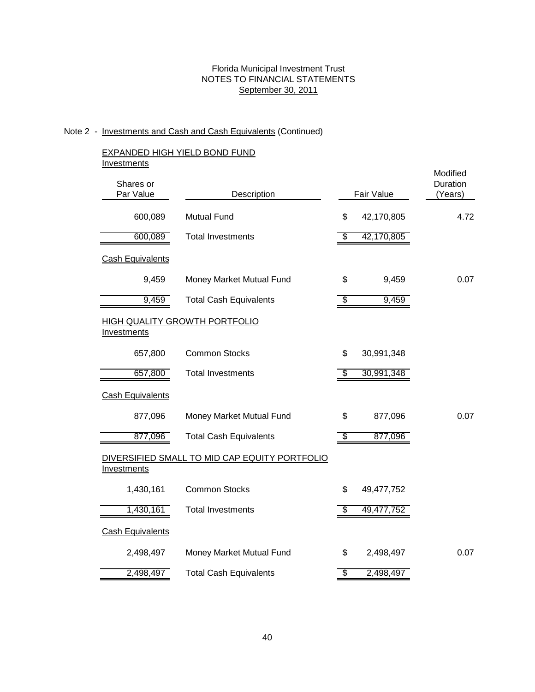# Note 2 - Investments and Cash and Cash Equivalents (Continued)

### EXPANDED HIGH YIELD BOND FUND **Investments**

| Shares or<br>Par Value  | Description                                   | Fair Value       | Modified<br>Duration<br>(Years) |
|-------------------------|-----------------------------------------------|------------------|---------------------------------|
| 600,089                 | <b>Mutual Fund</b>                            | \$<br>42,170,805 | 4.72                            |
| 600,089                 | <b>Total Investments</b>                      | \$<br>42,170,805 |                                 |
| <b>Cash Equivalents</b> |                                               |                  |                                 |
| 9,459                   | Money Market Mutual Fund                      | \$<br>9,459      | 0.07                            |
| 9,459                   | <b>Total Cash Equivalents</b>                 | \$<br>9,459      |                                 |
| <b>Investments</b>      | <b>HIGH QUALITY GROWTH PORTFOLIO</b>          |                  |                                 |
| 657,800                 | <b>Common Stocks</b>                          | \$<br>30,991,348 |                                 |
| 657,800                 | <b>Total Investments</b>                      | \$<br>30,991,348 |                                 |
| <b>Cash Equivalents</b> |                                               |                  |                                 |
| 877,096                 | Money Market Mutual Fund                      | \$<br>877,096    | 0.07                            |
| 877,096                 | <b>Total Cash Equivalents</b>                 | \$<br>877,096    |                                 |
| Investments             | DIVERSIFIED SMALL TO MID CAP EQUITY PORTFOLIO |                  |                                 |
| 1,430,161               | <b>Common Stocks</b>                          | \$<br>49,477,752 |                                 |
| 1,430,161               | <b>Total Investments</b>                      | \$<br>49,477,752 |                                 |
| <b>Cash Equivalents</b> |                                               |                  |                                 |
| 2,498,497               | Money Market Mutual Fund                      | \$<br>2,498,497  | 0.07                            |
| 2,498,497               | <b>Total Cash Equivalents</b>                 | \$<br>2,498,497  |                                 |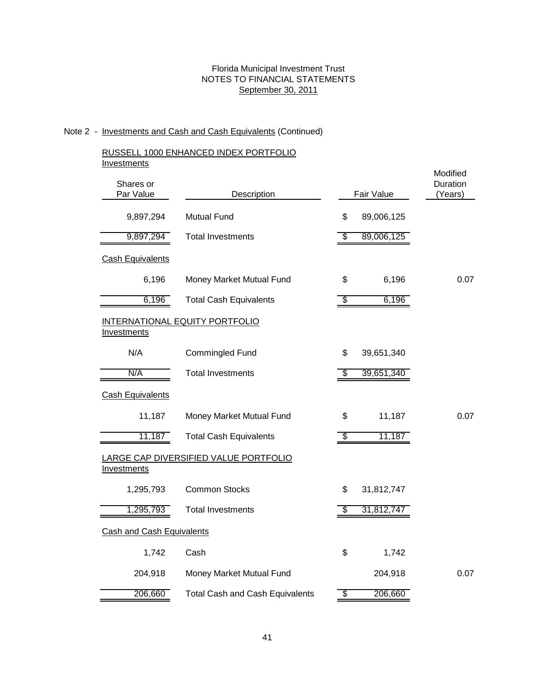# Note 2 - Investments and Cash and Cash Equivalents (Continued)

### RUSSELL 1000 ENHANCED INDEX PORTFOLIO **Investments**

| <u>IIIV COUTICITIO</u><br>Shares or<br>Par Value | Description                            |    | Fair Value | Modified<br>Duration<br>(Years) |  |  |  |
|--------------------------------------------------|----------------------------------------|----|------------|---------------------------------|--|--|--|
| 9,897,294                                        | <b>Mutual Fund</b>                     | \$ | 89,006,125 |                                 |  |  |  |
| 9,897,294                                        | <b>Total Investments</b>               | \$ | 89,006,125 |                                 |  |  |  |
| <b>Cash Equivalents</b>                          |                                        |    |            |                                 |  |  |  |
| 6,196                                            | Money Market Mutual Fund               | \$ | 6,196      | 0.07                            |  |  |  |
| 6,196                                            | <b>Total Cash Equivalents</b>          | \$ | 6,196      |                                 |  |  |  |
| Investments                                      | <b>INTERNATIONAL EQUITY PORTFOLIO</b>  |    |            |                                 |  |  |  |
| N/A                                              | Commingled Fund                        | \$ | 39,651,340 |                                 |  |  |  |
| N/A                                              | <b>Total Investments</b>               | \$ | 39,651,340 |                                 |  |  |  |
| <b>Cash Equivalents</b>                          |                                        |    |            |                                 |  |  |  |
| 11,187                                           | Money Market Mutual Fund               | \$ | 11,187     | 0.07                            |  |  |  |
| 11,187                                           | <b>Total Cash Equivalents</b>          |    | 11,187     |                                 |  |  |  |
| <b>Investments</b>                               | LARGE CAP DIVERSIFIED VALUE PORTFOLIO  |    |            |                                 |  |  |  |
| 1,295,793                                        | <b>Common Stocks</b>                   | \$ | 31,812,747 |                                 |  |  |  |
| 1,295,793                                        | <b>Total Investments</b>               | S  | 31,812,747 |                                 |  |  |  |
| <b>Cash and Cash Equivalents</b>                 |                                        |    |            |                                 |  |  |  |
| 1,742                                            | Cash                                   | \$ | 1,742      |                                 |  |  |  |
| 204,918                                          | Money Market Mutual Fund               |    | 204,918    | 0.07                            |  |  |  |
| 206,660                                          | <b>Total Cash and Cash Equivalents</b> | \$ | 206,660    |                                 |  |  |  |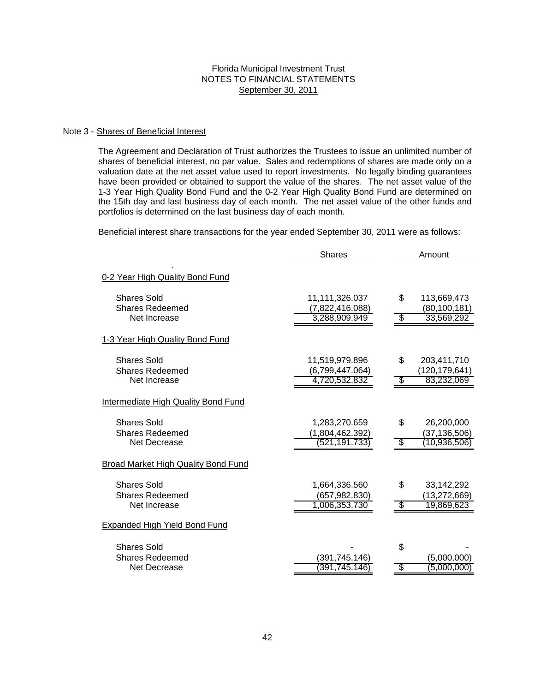#### Note 3 - Shares of Beneficial Interest

The Agreement and Declaration of Trust authorizes the Trustees to issue an unlimited number of shares of beneficial interest, no par value. Sales and redemptions of shares are made only on a valuation date at the net asset value used to report investments. No legally binding guarantees have been provided or obtained to support the value of the shares. The net asset value of the 1-3 Year High Quality Bond Fund and the 0-2 Year High Quality Bond Fund are determined on the 15th day and last business day of each month. The net asset value of the other funds and portfolios is determined on the last business day of each month.

Beneficial interest share transactions for the year ended September 30, 2011 were as follows:

|                                                              | <b>Shares</b>                                      | Amount                                                   |  |  |  |
|--------------------------------------------------------------|----------------------------------------------------|----------------------------------------------------------|--|--|--|
| 0-2 Year High Quality Bond Fund                              |                                                    |                                                          |  |  |  |
| <b>Shares Sold</b><br><b>Shares Redeemed</b><br>Net Increase | 11,111,326.037<br>(7,822,416.088)<br>3,288,909.949 | \$<br>113,669,473<br>(80, 100, 181)<br>33,569,292<br>S   |  |  |  |
| 1-3 Year High Quality Bond Fund                              |                                                    |                                                          |  |  |  |
| Shares Sold<br><b>Shares Redeemed</b><br>Net Increase        | 11,519,979.896<br>(6,799,447.064)<br>4,720,532.832 | \$<br>203,411,710<br>(120, 179, 641)<br>S<br>83,232,069  |  |  |  |
| Intermediate High Quality Bond Fund                          |                                                    |                                                          |  |  |  |
| <b>Shares Sold</b><br><b>Shares Redeemed</b><br>Net Decrease | 1,283,270.659<br>(1,804,462.392)<br>(521,191.733   | \$<br>26,200,000<br>(37,136,506)<br>\$<br>(10, 936, 506) |  |  |  |
| Broad Market High Quality Bond Fund                          |                                                    |                                                          |  |  |  |
| <b>Shares Sold</b><br><b>Shares Redeemed</b><br>Net Increase | 1,664,336.560<br>(657,982.830)<br>1,006,353.730    | \$<br>33,142,292<br>(13,272,669)<br>19,869,623<br>\$     |  |  |  |
| <b>Expanded High Yield Bond Fund</b>                         |                                                    |                                                          |  |  |  |
| <b>Shares Sold</b><br><b>Shares Redeemed</b><br>Net Decrease | (391,745.146)<br>391,745.146                       | \$<br>(5,000,000)<br>(5,000,000)<br>S                    |  |  |  |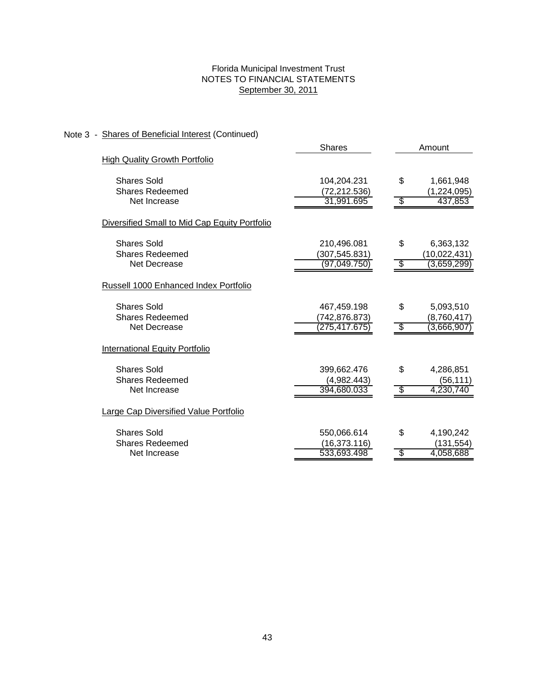# Note 3 - Shares of Beneficial Interest (Continued)

|                                               | <b>Shares</b>                  | Amount |                          |  |  |
|-----------------------------------------------|--------------------------------|--------|--------------------------|--|--|
| <b>High Quality Growth Portfolio</b>          |                                |        |                          |  |  |
| <b>Shares Sold</b><br><b>Shares Redeemed</b>  | 104,204.231<br>(72, 212.536)   | \$     | 1,661,948<br>(1,224,095) |  |  |
| Net Increase                                  | 31,991.695                     | S      | 437,853                  |  |  |
| Diversified Small to Mid Cap Equity Portfolio |                                |        |                          |  |  |
| <b>Shares Sold</b>                            | 210,496.081                    | \$     | 6,363,132                |  |  |
| <b>Shares Redeemed</b><br>Net Decrease        | (307, 545.831)<br>(97,049.750) | S      | (10,022,431)             |  |  |
|                                               |                                |        | (3,659,299)              |  |  |
| Russell 1000 Enhanced Index Portfolio         |                                |        |                          |  |  |
| <b>Shares Sold</b>                            | 467,459.198                    | \$     | 5,093,510                |  |  |
| <b>Shares Redeemed</b><br>Net Decrease        | (742,876.873)                  | \$     | (8,760,417)              |  |  |
|                                               | (275,417.675                   |        | (3,666,907)              |  |  |
| International Equity Portfolio                |                                |        |                          |  |  |
| <b>Shares Sold</b>                            | 399,662.476                    | \$     | 4,286,851                |  |  |
| <b>Shares Redeemed</b>                        | (4,982.443)                    |        | (56,111)                 |  |  |
| Net Increase                                  | 394,680.033                    |        | 4,230,740                |  |  |
| <b>Large Cap Diversified Value Portfolio</b>  |                                |        |                          |  |  |
| <b>Shares Sold</b>                            | 550,066.614                    | \$     | 4,190,242                |  |  |
| <b>Shares Redeemed</b>                        | (16, 373.116)                  |        | (131, 554)               |  |  |
| Net Increase                                  | 533,693.498                    | \$     | 4,058,688                |  |  |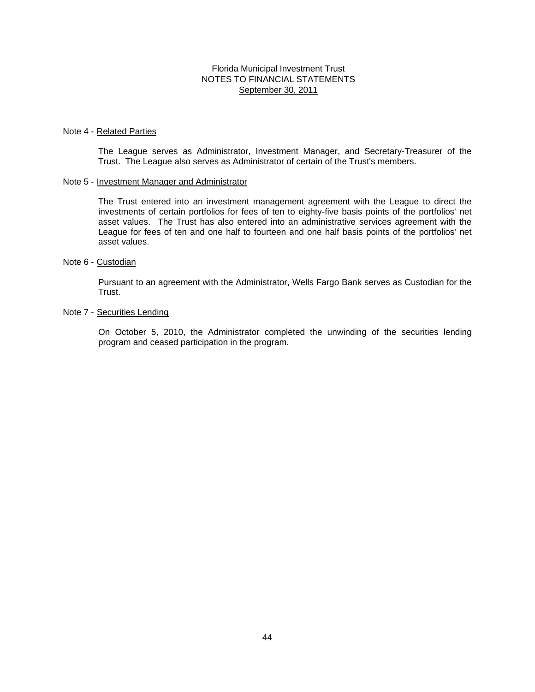#### Note 4 - Related Parties

The League serves as Administrator, Investment Manager, and Secretary-Treasurer of the Trust. The League also serves as Administrator of certain of the Trust's members.

#### Note 5 - Investment Manager and Administrator

The Trust entered into an investment management agreement with the League to direct the investments of certain portfolios for fees of ten to eighty-five basis points of the portfolios' net asset values. The Trust has also entered into an administrative services agreement with the League for fees of ten and one half to fourteen and one half basis points of the portfolios' net asset values.

#### Note 6 - Custodian

Pursuant to an agreement with the Administrator, Wells Fargo Bank serves as Custodian for the Trust.

### Note 7 - Securities Lending

On October 5, 2010, the Administrator completed the unwinding of the securities lending program and ceased participation in the program.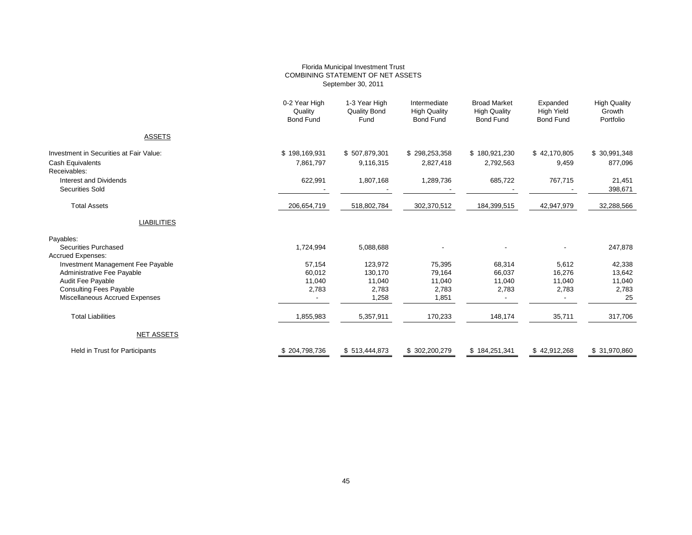#### Florida Municipal Investment Trust COMBINING STATEMENT OF NET ASSETS September 30, 2011

|                                                                             | 0-2 Year High<br>Quality<br><b>Bond Fund</b> | 1-3 Year High<br><b>Quality Bond</b><br>Fund | Intermediate<br><b>High Quality</b><br><b>Bond Fund</b> | <b>Broad Market</b><br><b>High Quality</b><br><b>Bond Fund</b> | Expanded<br><b>High Yield</b><br><b>Bond Fund</b> | <b>High Quality</b><br>Growth<br>Portfolio |
|-----------------------------------------------------------------------------|----------------------------------------------|----------------------------------------------|---------------------------------------------------------|----------------------------------------------------------------|---------------------------------------------------|--------------------------------------------|
| <b>ASSETS</b>                                                               |                                              |                                              |                                                         |                                                                |                                                   |                                            |
| Investment in Securities at Fair Value:<br>Cash Equivalents<br>Receivables: | \$198,169,931<br>7,861,797                   | \$507,879,301<br>9,116,315                   | \$298,253,358<br>2,827,418                              | \$180,921,230<br>2,792,563                                     | \$42,170,805<br>9,459                             | \$30,991,348<br>877,096                    |
| Interest and Dividends<br><b>Securities Sold</b>                            | 622,991                                      | 1,807,168                                    | 1,289,736                                               | 685,722                                                        | 767,715                                           | 21,451<br>398,671                          |
| <b>Total Assets</b>                                                         | 206,654,719                                  | 518,802,784                                  | 302,370,512                                             | 184,399,515                                                    | 42,947,979                                        | 32,288,566                                 |
| <b>LIABILITIES</b>                                                          |                                              |                                              |                                                         |                                                                |                                                   |                                            |
| Payables:                                                                   |                                              |                                              |                                                         |                                                                |                                                   |                                            |
| <b>Securities Purchased</b><br><b>Accrued Expenses:</b>                     | 1,724,994                                    | 5,088,688                                    |                                                         |                                                                |                                                   | 247,878                                    |
| Investment Management Fee Payable                                           | 57,154                                       | 123,972                                      | 75,395                                                  | 68.314                                                         | 5,612                                             | 42,338                                     |
| Administrative Fee Payable                                                  | 60,012                                       | 130,170                                      | 79.164                                                  | 66,037                                                         | 16,276                                            | 13,642                                     |
| Audit Fee Payable                                                           | 11,040                                       | 11,040                                       | 11,040                                                  | 11,040                                                         | 11,040                                            | 11,040                                     |
| <b>Consulting Fees Payable</b>                                              | 2,783                                        | 2,783                                        | 2,783                                                   | 2,783                                                          | 2,783                                             | 2,783                                      |
| Miscellaneous Accrued Expenses                                              |                                              | 1,258                                        | 1,851                                                   |                                                                |                                                   | 25                                         |
| <b>Total Liabilities</b>                                                    | 1,855,983                                    | 5,357,911                                    | 170,233                                                 | 148,174                                                        | 35,711                                            | 317,706                                    |
| <b>NET ASSETS</b>                                                           |                                              |                                              |                                                         |                                                                |                                                   |                                            |
| <b>Held in Trust for Participants</b>                                       | \$204,798,736                                | \$513,444,873                                | \$302,200,279                                           | \$184,251,341                                                  | \$42,912,268                                      | \$31,970,860                               |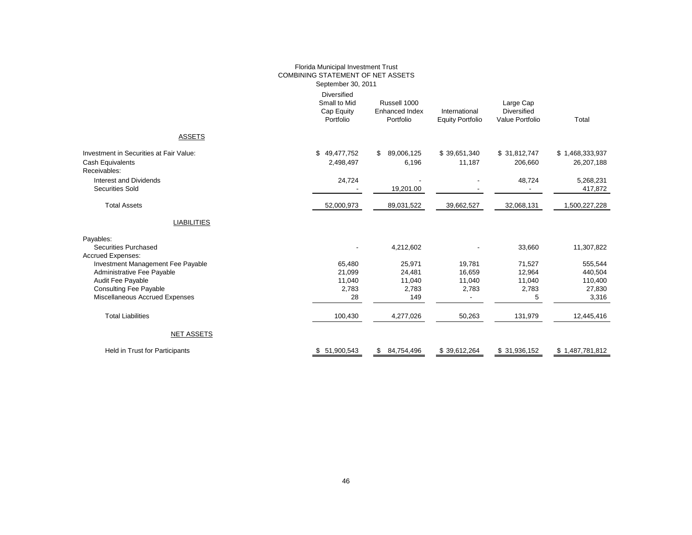|                                                                                                                                                                                     | Florida Municipal Investment Trust<br><b>COMBINING STATEMENT OF NET ASSETS</b><br>September 30, 2011 |                                                    |                                                       |                                                    |                                                  |
|-------------------------------------------------------------------------------------------------------------------------------------------------------------------------------------|------------------------------------------------------------------------------------------------------|----------------------------------------------------|-------------------------------------------------------|----------------------------------------------------|--------------------------------------------------|
|                                                                                                                                                                                     | <b>Diversified</b><br>Small to Mid<br>Cap Equity<br>Portfolio                                        | Russell 1000<br><b>Enhanced Index</b><br>Portfolio | International<br><b>Equity Portfolio</b>              | Large Cap<br><b>Diversified</b><br>Value Portfolio | Total                                            |
| <b>ASSETS</b>                                                                                                                                                                       |                                                                                                      |                                                    |                                                       |                                                    |                                                  |
| Investment in Securities at Fair Value:<br>Cash Equivalents<br>Receivables:                                                                                                         | \$49,477,752<br>2,498,497                                                                            | 89,006,125<br>\$<br>6,196                          | \$39,651,340<br>11,187                                | \$31,812,747<br>206,660                            | \$1,468,333,937<br>26,207,188                    |
| Interest and Dividends<br><b>Securities Sold</b>                                                                                                                                    | 24,724                                                                                               | 19,201.00                                          |                                                       | 48,724                                             | 5,268,231<br>417,872                             |
| <b>Total Assets</b>                                                                                                                                                                 | 52,000,973                                                                                           | 89,031,522                                         | 39,662,527                                            | 32,068,131                                         | 1,500,227,228                                    |
| <b>LIABILITIES</b>                                                                                                                                                                  |                                                                                                      |                                                    |                                                       |                                                    |                                                  |
| Payables:<br><b>Securities Purchased</b>                                                                                                                                            |                                                                                                      | 4,212,602                                          |                                                       | 33,660                                             | 11,307,822                                       |
| <b>Accrued Expenses:</b><br>Investment Management Fee Payable<br>Administrative Fee Payable<br>Audit Fee Payable<br><b>Consulting Fee Payable</b><br>Miscellaneous Accrued Expenses | 65,480<br>21,099<br>11,040<br>2,783<br>28                                                            | 25,971<br>24,481<br>11,040<br>2,783<br>149         | 19,781<br>16,659<br>11,040<br>2,783<br>$\blacksquare$ | 71,527<br>12,964<br>11,040<br>2,783<br>5           | 555,544<br>440,504<br>110,400<br>27,830<br>3,316 |
| <b>Total Liabilities</b>                                                                                                                                                            | 100,430                                                                                              | 4,277,026                                          | 50,263                                                | 131,979                                            | 12,445,416                                       |
| <b>NET ASSETS</b>                                                                                                                                                                   |                                                                                                      |                                                    |                                                       |                                                    |                                                  |
| Held in Trust for Participants                                                                                                                                                      | \$51,900,543                                                                                         | 84,754,496<br>\$                                   | \$39,612,264                                          | \$31,936,152                                       | \$1,487,781,812                                  |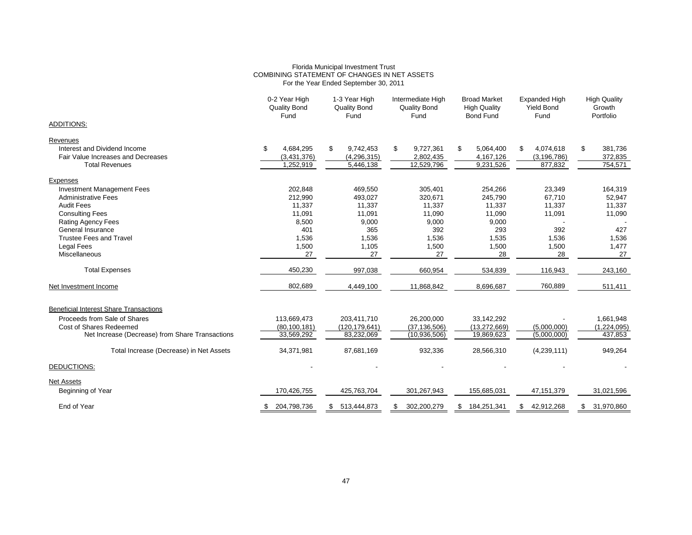# Florida Municipal Investment Trust COMBINING STATEMENT OF CHANGES IN NET ASSETS For the Year Ended September 30, 2011

|                                                 | 0-2 Year High<br><b>Quality Bond</b><br>Fund | 1-3 Year High<br>Quality Bond<br>Fund | Intermediate High<br><b>Quality Bond</b><br>Fund | <b>Broad Market</b><br><b>High Quality</b><br><b>Bond Fund</b> | <b>Expanded High</b><br><b>Yield Bond</b><br>Fund | <b>High Quality</b><br>Growth<br>Portfolio |  |
|-------------------------------------------------|----------------------------------------------|---------------------------------------|--------------------------------------------------|----------------------------------------------------------------|---------------------------------------------------|--------------------------------------------|--|
| <b>ADDITIONS:</b>                               |                                              |                                       |                                                  |                                                                |                                                   |                                            |  |
| Revenues                                        |                                              |                                       |                                                  |                                                                |                                                   |                                            |  |
| Interest and Dividend Income                    | \$<br>4,684,295                              | \$<br>9,742,453                       | \$<br>9,727,361                                  | 5,064,400<br>S                                                 | 4,074,618<br>S                                    | \$<br>381,736                              |  |
| Fair Value Increases and Decreases              | (3,431,376)                                  | (4, 296, 315)                         | 2,802,435                                        | 4,167,126                                                      | (3, 196, 786)                                     | 372,835                                    |  |
| <b>Total Revenues</b>                           | 1,252,919                                    | 5,446,138                             | 12,529,796                                       | 9,231,526                                                      | 877,832                                           | 754,571                                    |  |
| Expenses                                        |                                              |                                       |                                                  |                                                                |                                                   |                                            |  |
| <b>Investment Management Fees</b>               | 202,848                                      | 469,550                               | 305,401                                          | 254,266                                                        | 23,349                                            | 164,319                                    |  |
| <b>Administrative Fees</b>                      | 212,990                                      | 493,027                               | 320,671                                          | 245,790                                                        | 67,710                                            | 52,947                                     |  |
| <b>Audit Fees</b>                               | 11,337                                       | 11,337                                | 11,337                                           | 11,337                                                         | 11,337                                            | 11,337                                     |  |
| <b>Consulting Fees</b>                          | 11,091                                       | 11,091                                | 11,090                                           | 11,090                                                         | 11,091                                            | 11,090                                     |  |
| <b>Rating Agency Fees</b>                       | 8,500                                        | 9,000                                 | 9,000                                            | 9,000                                                          |                                                   |                                            |  |
| General Insurance                               | 401                                          | 365                                   | 392                                              | 293                                                            | 392                                               | 427                                        |  |
| <b>Trustee Fees and Travel</b>                  | 1,536                                        | 1,536                                 | 1,536                                            | 1,535                                                          | 1,536                                             | 1,536                                      |  |
| <b>Legal Fees</b>                               | 1,500                                        | 1,105                                 | 1,500                                            | 1,500                                                          | 1,500                                             | 1,477                                      |  |
| <b>Miscellaneous</b>                            | 27                                           | 27                                    | 27                                               | 28                                                             | 28                                                | 27                                         |  |
| <b>Total Expenses</b>                           | 450,230                                      | 997,038                               | 660,954                                          | 534,839                                                        | 116,943                                           | 243,160                                    |  |
| Net Investment Income                           | 802,689                                      | 4,449,100                             | 11,868,842                                       | 8.696.687                                                      | 760,889                                           | 511,411                                    |  |
| <b>Beneficial Interest Share Transactions</b>   |                                              |                                       |                                                  |                                                                |                                                   |                                            |  |
| Proceeds from Sale of Shares                    | 113,669,473                                  | 203,411,710                           | 26,200,000                                       | 33,142,292                                                     |                                                   | 1,661,948                                  |  |
| Cost of Shares Redeemed                         | (80, 100, 181)                               | (120, 179, 641)                       | (37, 136, 506)                                   | (13, 272, 669)                                                 | (5,000,000)                                       | (1,224,095)                                |  |
| Net Increase (Decrease) from Share Transactions | 33,569,292                                   | 83,232,069                            | (10, 936, 506)                                   | 19,869,623                                                     | (5,000,000)                                       | 437,853                                    |  |
| Total Increase (Decrease) in Net Assets         | 34,371,981                                   | 87,681,169                            | 932,336                                          | 28,566,310                                                     | (4,239,111)                                       | 949,264                                    |  |
| DEDUCTIONS:                                     |                                              |                                       |                                                  |                                                                |                                                   |                                            |  |
| <b>Net Assets</b>                               |                                              |                                       |                                                  |                                                                |                                                   |                                            |  |
| Beginning of Year                               | 170,426,755                                  | 425,763,704                           | 301,267,943                                      | 155,685,031                                                    | 47, 151, 379                                      | 31,021,596                                 |  |
| End of Year                                     | 204,798,736<br>S.                            | 513,444,873<br>\$.                    | 302,200,279<br>S                                 | 184,251,341<br>S                                               | 42,912,268<br>\$                                  | 31,970,860<br>S.                           |  |